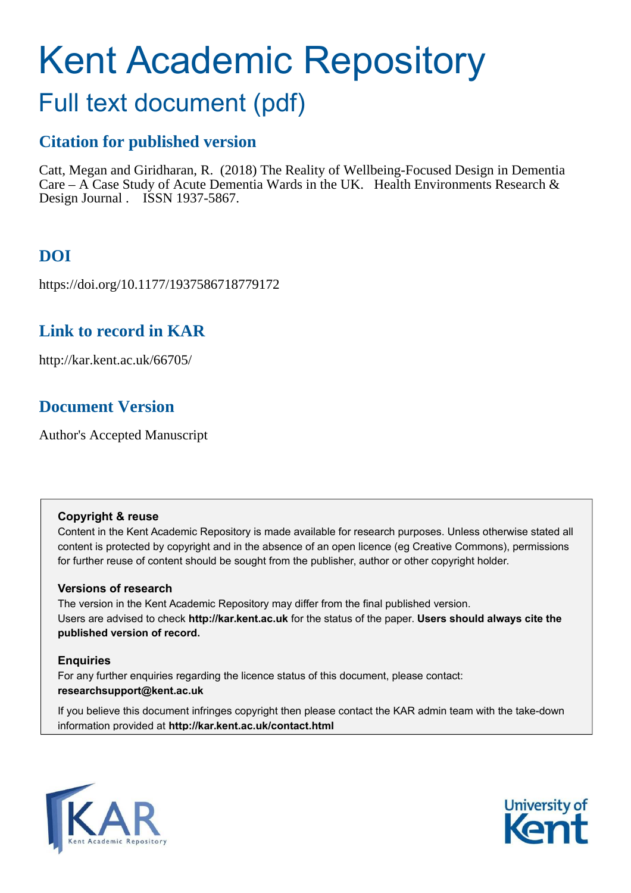# Kent Academic Repository

## Full text document (pdf)

## **Citation for published version**

Catt, Megan and Giridharan, R. (2018) The Reality of Wellbeing-Focused Design in Dementia Care – A Case Study of Acute Dementia Wards in the UK. Health Environments Research  $\&$ Design Journal . ISSN 1937-5867.

## **DOI**

https://doi.org/10.1177/1937586718779172

## **Link to record in KAR**

http://kar.kent.ac.uk/66705/

## **Document Version**

Author's Accepted Manuscript

#### **Copyright & reuse**

Content in the Kent Academic Repository is made available for research purposes. Unless otherwise stated all content is protected by copyright and in the absence of an open licence (eg Creative Commons), permissions for further reuse of content should be sought from the publisher, author or other copyright holder.

#### **Versions of research**

The version in the Kent Academic Repository may differ from the final published version. Users are advised to check **http://kar.kent.ac.uk** for the status of the paper. **Users should always cite the published version of record.**

#### **Enquiries**

For any further enquiries regarding the licence status of this document, please contact: **researchsupport@kent.ac.uk**

If you believe this document infringes copyright then please contact the KAR admin team with the take-down information provided at **http://kar.kent.ac.uk/contact.html**



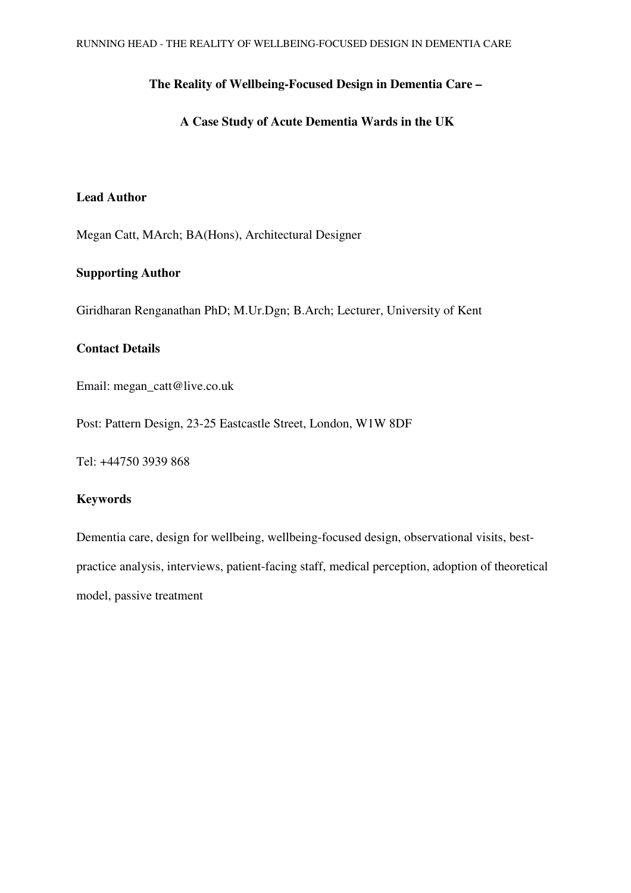#### **The Reality of Wellbeing-Focused Design in Dementia Care –**

#### **A Case Study of Acute Dementia Wards in the UK**

#### **Lead Author**

Megan Catt, MArch; BA(Hons), Architectural Designer

#### **Supporting Author**

Giridharan Renganathan PhD; M.Ur.Dgn; B.Arch; Lecturer, University of Kent

#### **Contact Details**

Email: megan\_catt@live.co.uk

Post: Pattern Design, 23-25 Eastcastle Street, London, W1W 8DF

Tel: +44750 3939 868

#### **Keywords**

Dementia care, design for wellbeing, wellbeing-focused design, observational visits, bestpractice analysis, interviews, patient-facing staff, medical perception, adoption of theoretical model, passive treatment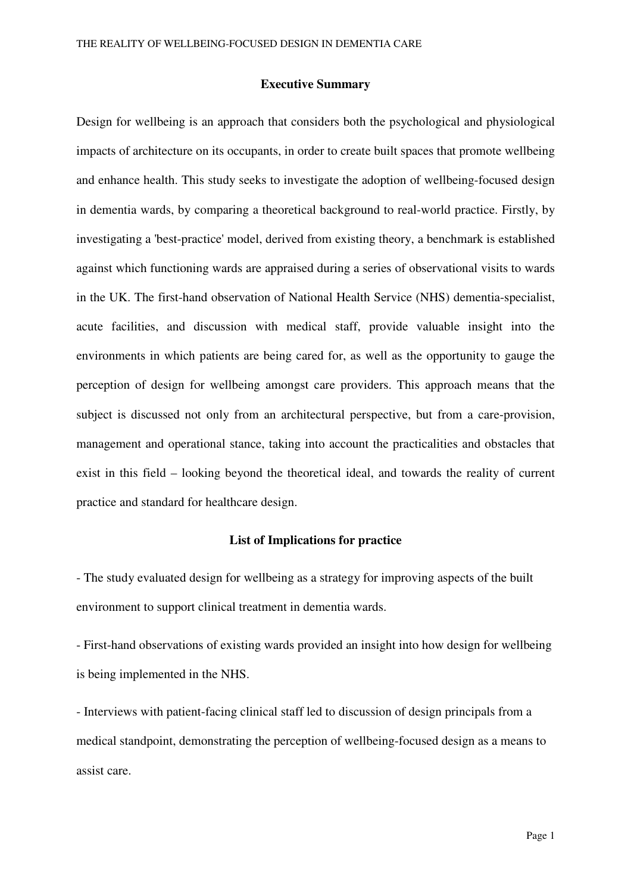#### **Executive Summary**

Design for wellbeing is an approach that considers both the psychological and physiological impacts of architecture on its occupants, in order to create built spaces that promote wellbeing and enhance health. This study seeks to investigate the adoption of wellbeing-focused design in dementia wards, by comparing a theoretical background to real-world practice. Firstly, by investigating a 'best-practice' model, derived from existing theory, a benchmark is established against which functioning wards are appraised during a series of observational visits to wards in the UK. The first-hand observation of National Health Service (NHS) dementia-specialist, acute facilities, and discussion with medical staff, provide valuable insight into the environments in which patients are being cared for, as well as the opportunity to gauge the perception of design for wellbeing amongst care providers. This approach means that the subject is discussed not only from an architectural perspective, but from a care-provision, management and operational stance, taking into account the practicalities and obstacles that exist in this field – looking beyond the theoretical ideal, and towards the reality of current practice and standard for healthcare design.

#### **List of Implications for practice**

- The study evaluated design for wellbeing as a strategy for improving aspects of the built environment to support clinical treatment in dementia wards.

- First-hand observations of existing wards provided an insight into how design for wellbeing is being implemented in the NHS.

- Interviews with patient-facing clinical staff led to discussion of design principals from a medical standpoint, demonstrating the perception of wellbeing-focused design as a means to assist care.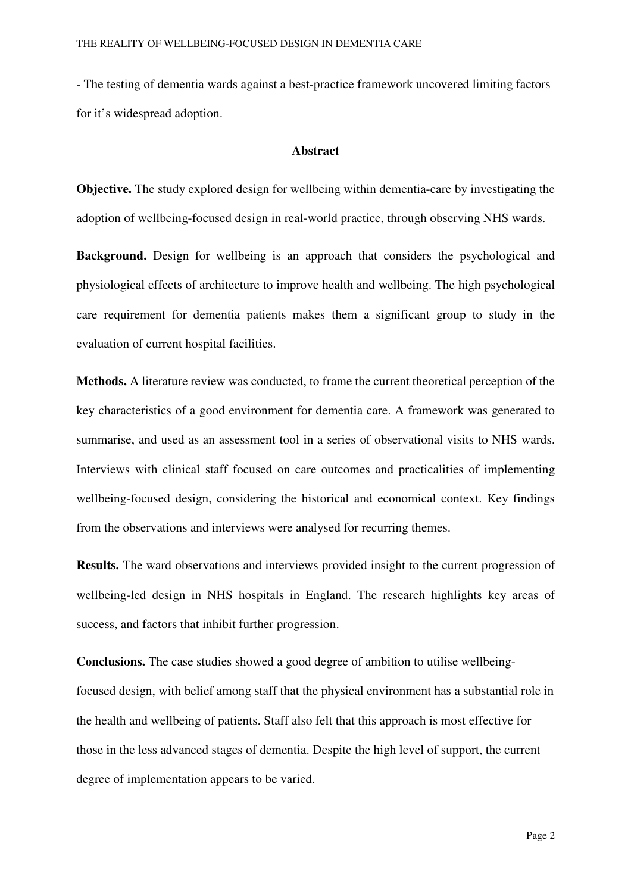- The testing of dementia wards against a best-practice framework uncovered limiting factors for it's widespread adoption.

#### **Abstract**

**Objective.** The study explored design for wellbeing within dementia-care by investigating the adoption of wellbeing-focused design in real-world practice, through observing NHS wards.

**Background.** Design for wellbeing is an approach that considers the psychological and physiological effects of architecture to improve health and wellbeing. The high psychological care requirement for dementia patients makes them a significant group to study in the evaluation of current hospital facilities.

**Methods.** A literature review was conducted, to frame the current theoretical perception of the key characteristics of a good environment for dementia care. A framework was generated to summarise, and used as an assessment tool in a series of observational visits to NHS wards. Interviews with clinical staff focused on care outcomes and practicalities of implementing wellbeing-focused design, considering the historical and economical context. Key findings from the observations and interviews were analysed for recurring themes.

**Results.** The ward observations and interviews provided insight to the current progression of wellbeing-led design in NHS hospitals in England. The research highlights key areas of success, and factors that inhibit further progression.

**Conclusions.** The case studies showed a good degree of ambition to utilise wellbeingfocused design, with belief among staff that the physical environment has a substantial role in the health and wellbeing of patients. Staff also felt that this approach is most effective for those in the less advanced stages of dementia. Despite the high level of support, the current degree of implementation appears to be varied.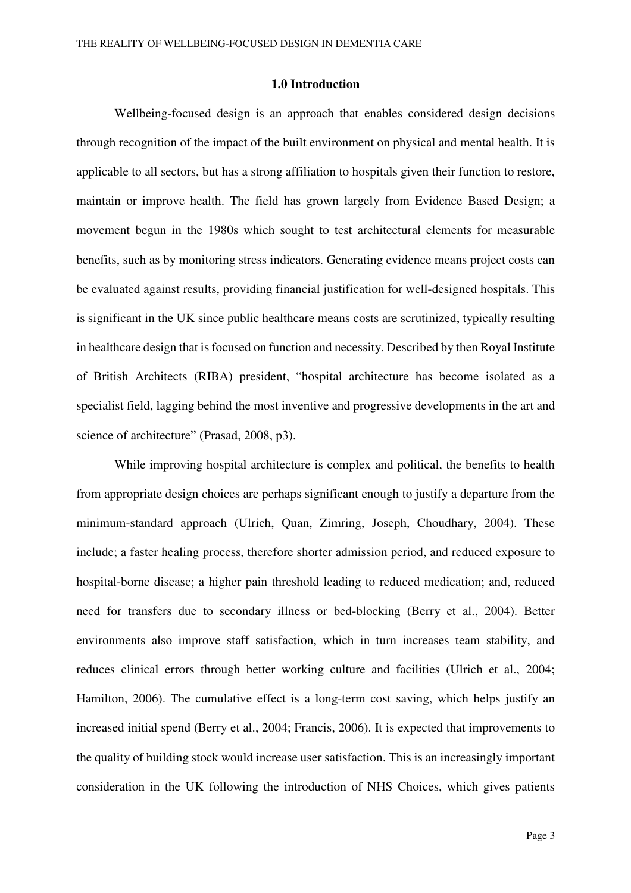#### **1.0 Introduction**

Wellbeing-focused design is an approach that enables considered design decisions through recognition of the impact of the built environment on physical and mental health. It is applicable to all sectors, but has a strong affiliation to hospitals given their function to restore, maintain or improve health. The field has grown largely from Evidence Based Design; a movement begun in the 1980s which sought to test architectural elements for measurable benefits, such as by monitoring stress indicators. Generating evidence means project costs can be evaluated against results, providing financial justification for well-designed hospitals. This is significant in the UK since public healthcare means costs are scrutinized, typically resulting in healthcare design that is focused on function and necessity. Described by then Royal Institute of British Architects (RIBA) president, "hospital architecture has become isolated as a specialist field, lagging behind the most inventive and progressive developments in the art and science of architecture" (Prasad, 2008, p3).

While improving hospital architecture is complex and political, the benefits to health from appropriate design choices are perhaps significant enough to justify a departure from the minimum-standard approach (Ulrich, Quan, Zimring, Joseph, Choudhary, 2004). These include; a faster healing process, therefore shorter admission period, and reduced exposure to hospital-borne disease; a higher pain threshold leading to reduced medication; and, reduced need for transfers due to secondary illness or bed-blocking (Berry et al., 2004). Better environments also improve staff satisfaction, which in turn increases team stability, and reduces clinical errors through better working culture and facilities (Ulrich et al., 2004; Hamilton, 2006). The cumulative effect is a long-term cost saving, which helps justify an increased initial spend (Berry et al., 2004; Francis, 2006). It is expected that improvements to the quality of building stock would increase user satisfaction. This is an increasingly important consideration in the UK following the introduction of NHS Choices, which gives patients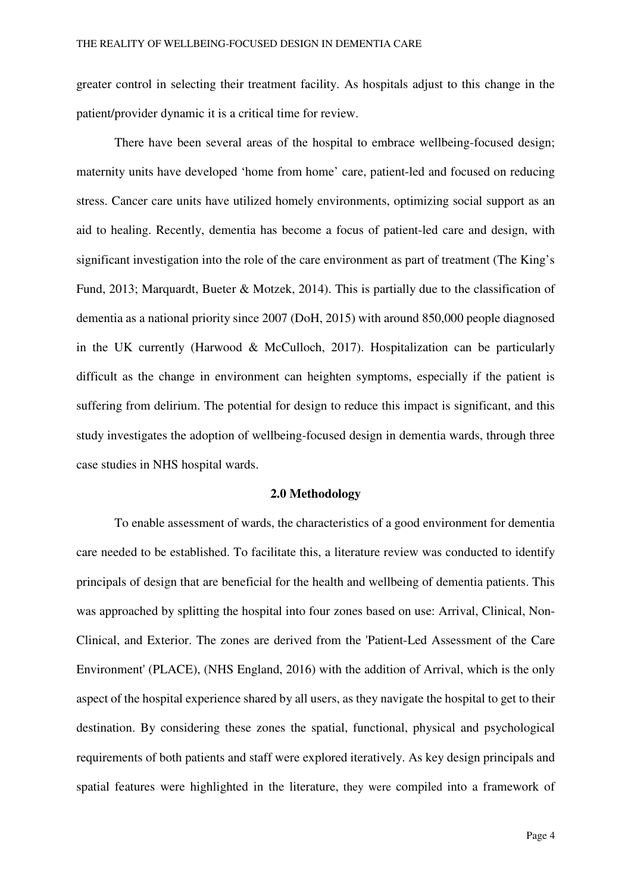greater control in selecting their treatment facility. As hospitals adjust to this change in the patient/provider dynamic it is a critical time for review.

There have been several areas of the hospital to embrace wellbeing-focused design; maternity units have developed 'home from home' care, patient-led and focused on reducing stress. Cancer care units have utilized homely environments, optimizing social support as an aid to healing. Recently, dementia has become a focus of patient-led care and design, with significant investigation into the role of the care environment as part of treatment (The King's Fund, 2013; Marquardt, Bueter & Motzek, 2014). This is partially due to the classification of dementia as a national priority since 2007 (DoH, 2015) with around 850,000 people diagnosed in the UK currently (Harwood & McCulloch, 2017). Hospitalization can be particularly difficult as the change in environment can heighten symptoms, especially if the patient is suffering from delirium. The potential for design to reduce this impact is significant, and this study investigates the adoption of wellbeing-focused design in dementia wards, through three case studies in NHS hospital wards.

#### **2.0 Methodology**

To enable assessment of wards, the characteristics of a good environment for dementia care needed to be established. To facilitate this, a literature review was conducted to identify principals of design that are beneficial for the health and wellbeing of dementia patients. This was approached by splitting the hospital into four zones based on use: Arrival, Clinical, Non-Clinical, and Exterior. The zones are derived from the 'Patient-Led Assessment of the Care Environment' (PLACE), (NHS England, 2016) with the addition of Arrival, which is the only aspect of the hospital experience shared by all users, as they navigate the hospital to get to their destination. By considering these zones the spatial, functional, physical and psychological requirements of both patients and staff were explored iteratively. As key design principals and spatial features were highlighted in the literature, they were compiled into a framework of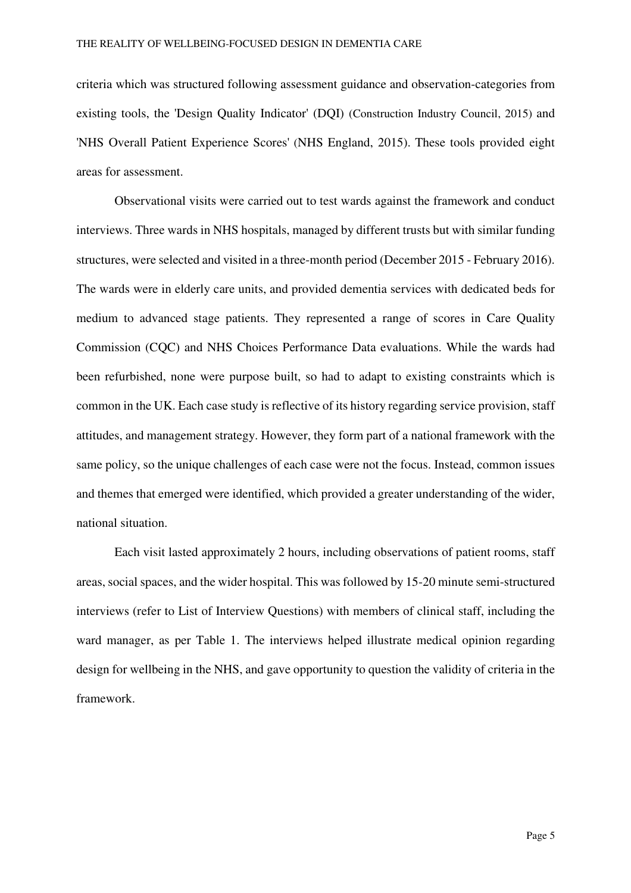criteria which was structured following assessment guidance and observation-categories from existing tools, the 'Design Quality Indicator' (DQI) (Construction Industry Council, 2015) and 'NHS Overall Patient Experience Scores' (NHS England, 2015). These tools provided eight areas for assessment.

Observational visits were carried out to test wards against the framework and conduct interviews. Three wards in NHS hospitals, managed by different trusts but with similar funding structures, were selected and visited in a three-month period (December 2015 - February 2016). The wards were in elderly care units, and provided dementia services with dedicated beds for medium to advanced stage patients. They represented a range of scores in Care Quality Commission (CQC) and NHS Choices Performance Data evaluations. While the wards had been refurbished, none were purpose built, so had to adapt to existing constraints which is common in the UK. Each case study is reflective of its history regarding service provision, staff attitudes, and management strategy. However, they form part of a national framework with the same policy, so the unique challenges of each case were not the focus. Instead, common issues and themes that emerged were identified, which provided a greater understanding of the wider, national situation.

Each visit lasted approximately 2 hours, including observations of patient rooms, staff areas, social spaces, and the wider hospital. This was followed by 15-20 minute semi-structured interviews (refer to List of Interview Questions) with members of clinical staff, including the ward manager, as per Table 1. The interviews helped illustrate medical opinion regarding design for wellbeing in the NHS, and gave opportunity to question the validity of criteria in the framework.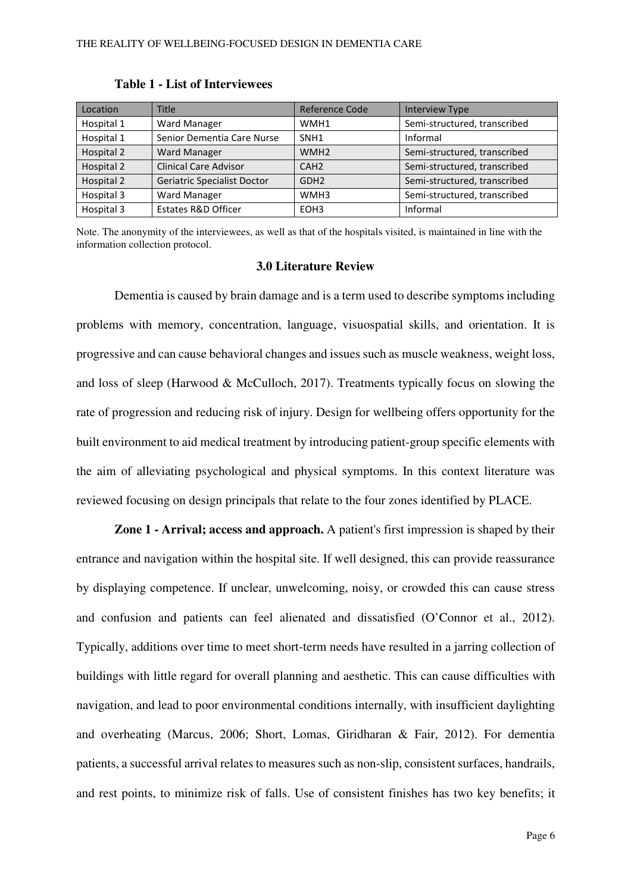| Location   | Title                        | Reference Code   | <b>Interview Type</b>        |
|------------|------------------------------|------------------|------------------------------|
| Hospital 1 | Ward Manager                 | WMH1             | Semi-structured, transcribed |
| Hospital 1 | Senior Dementia Care Nurse   | SNH <sub>1</sub> | Informal                     |
| Hospital 2 | <b>Ward Manager</b>          | WMH <sub>2</sub> | Semi-structured, transcribed |
| Hospital 2 | <b>Clinical Care Advisor</b> | CAH <sub>2</sub> | Semi-structured, transcribed |
| Hospital 2 | Geriatric Specialist Doctor  | GDH <sub>2</sub> | Semi-structured, transcribed |
| Hospital 3 | <b>Ward Manager</b>          | WMH3             | Semi-structured, transcribed |
| Hospital 3 | Estates R&D Officer          | EOH <sub>3</sub> | Informal                     |

#### **Table 1 - List of Interviewees**

Note. The anonymity of the interviewees, as well as that of the hospitals visited, is maintained in line with the information collection protocol.

#### **3.0 Literature Review**

Dementia is caused by brain damage and is a term used to describe symptoms including problems with memory, concentration, language, visuospatial skills, and orientation. It is progressive and can cause behavioral changes and issues such as muscle weakness, weight loss, and loss of sleep (Harwood & McCulloch, 2017). Treatments typically focus on slowing the rate of progression and reducing risk of injury. Design for wellbeing offers opportunity for the built environment to aid medical treatment by introducing patient-group specific elements with the aim of alleviating psychological and physical symptoms. In this context literature was reviewed focusing on design principals that relate to the four zones identified by PLACE.

**Zone 1 - Arrival; access and approach.** A patient's first impression is shaped by their entrance and navigation within the hospital site. If well designed, this can provide reassurance by displaying competence. If unclear, unwelcoming, noisy, or crowded this can cause stress and confusion and patients can feel alienated and dissatisfied (O'Connor et al., 2012). Typically, additions over time to meet short-term needs have resulted in a jarring collection of buildings with little regard for overall planning and aesthetic. This can cause difficulties with navigation, and lead to poor environmental conditions internally, with insufficient daylighting and overheating (Marcus, 2006; Short, Lomas, Giridharan & Fair, 2012). For dementia patients, a successful arrival relates to measures such as non-slip, consistent surfaces, handrails, and rest points, to minimize risk of falls. Use of consistent finishes has two key benefits; it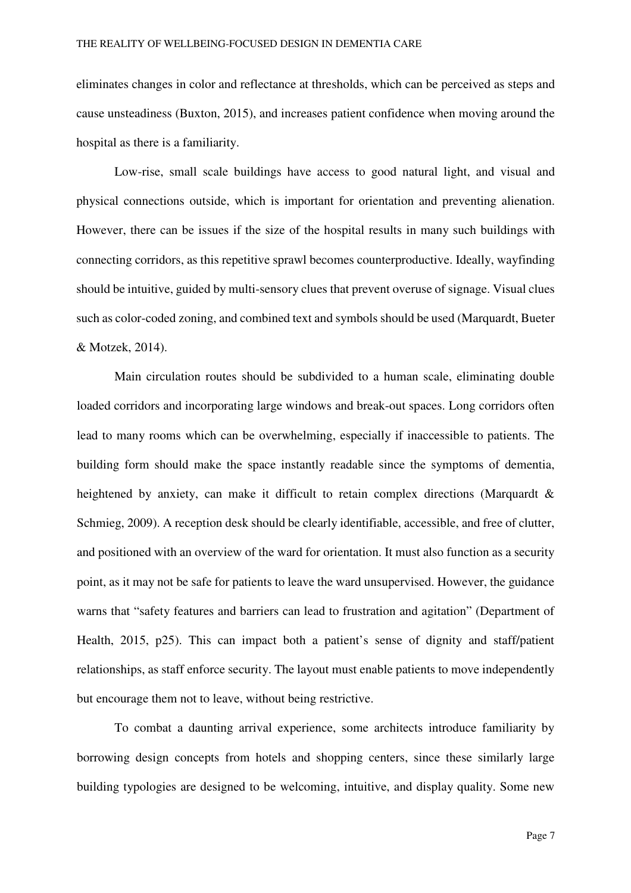eliminates changes in color and reflectance at thresholds, which can be perceived as steps and cause unsteadiness (Buxton, 2015), and increases patient confidence when moving around the hospital as there is a familiarity.

Low-rise, small scale buildings have access to good natural light, and visual and physical connections outside, which is important for orientation and preventing alienation. However, there can be issues if the size of the hospital results in many such buildings with connecting corridors, as this repetitive sprawl becomes counterproductive. Ideally, wayfinding should be intuitive, guided by multi-sensory clues that prevent overuse of signage. Visual clues such as color-coded zoning, and combined text and symbols should be used (Marquardt, Bueter & Motzek, 2014).

Main circulation routes should be subdivided to a human scale, eliminating double loaded corridors and incorporating large windows and break-out spaces. Long corridors often lead to many rooms which can be overwhelming, especially if inaccessible to patients. The building form should make the space instantly readable since the symptoms of dementia, heightened by anxiety, can make it difficult to retain complex directions (Marquardt & Schmieg, 2009). A reception desk should be clearly identifiable, accessible, and free of clutter, and positioned with an overview of the ward for orientation. It must also function as a security point, as it may not be safe for patients to leave the ward unsupervised. However, the guidance warns that "safety features and barriers can lead to frustration and agitation" (Department of Health, 2015, p25). This can impact both a patient's sense of dignity and staff/patient relationships, as staff enforce security. The layout must enable patients to move independently but encourage them not to leave, without being restrictive.

To combat a daunting arrival experience, some architects introduce familiarity by borrowing design concepts from hotels and shopping centers, since these similarly large building typologies are designed to be welcoming, intuitive, and display quality. Some new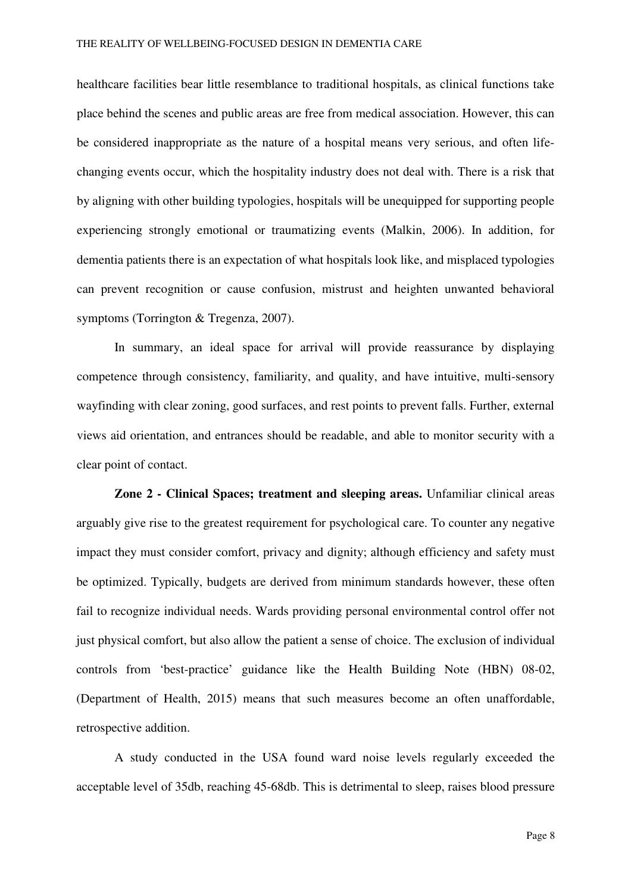healthcare facilities bear little resemblance to traditional hospitals, as clinical functions take place behind the scenes and public areas are free from medical association. However, this can be considered inappropriate as the nature of a hospital means very serious, and often lifechanging events occur, which the hospitality industry does not deal with. There is a risk that by aligning with other building typologies, hospitals will be unequipped for supporting people experiencing strongly emotional or traumatizing events (Malkin, 2006). In addition, for dementia patients there is an expectation of what hospitals look like, and misplaced typologies can prevent recognition or cause confusion, mistrust and heighten unwanted behavioral symptoms (Torrington & Tregenza, 2007).

In summary, an ideal space for arrival will provide reassurance by displaying competence through consistency, familiarity, and quality, and have intuitive, multi-sensory wayfinding with clear zoning, good surfaces, and rest points to prevent falls. Further, external views aid orientation, and entrances should be readable, and able to monitor security with a clear point of contact.

**Zone 2 - Clinical Spaces; treatment and sleeping areas.** Unfamiliar clinical areas arguably give rise to the greatest requirement for psychological care. To counter any negative impact they must consider comfort, privacy and dignity; although efficiency and safety must be optimized. Typically, budgets are derived from minimum standards however, these often fail to recognize individual needs. Wards providing personal environmental control offer not just physical comfort, but also allow the patient a sense of choice. The exclusion of individual controls from 'best-practice' guidance like the Health Building Note (HBN) 08-02, (Department of Health, 2015) means that such measures become an often unaffordable, retrospective addition.

A study conducted in the USA found ward noise levels regularly exceeded the acceptable level of 35db, reaching 45-68db. This is detrimental to sleep, raises blood pressure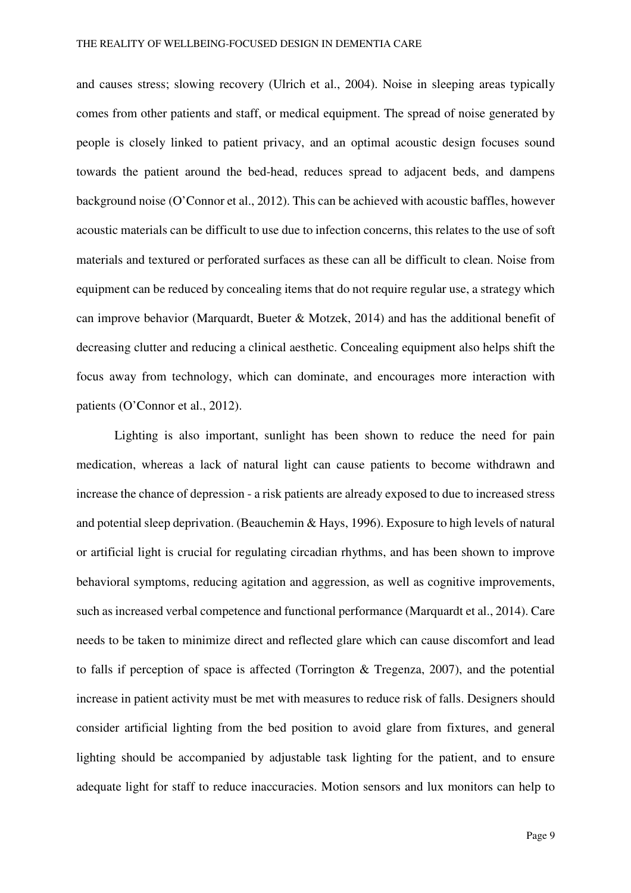and causes stress; slowing recovery (Ulrich et al., 2004). Noise in sleeping areas typically comes from other patients and staff, or medical equipment. The spread of noise generated by people is closely linked to patient privacy, and an optimal acoustic design focuses sound towards the patient around the bed-head, reduces spread to adjacent beds, and dampens background noise (O'Connor et al., 2012). This can be achieved with acoustic baffles, however acoustic materials can be difficult to use due to infection concerns, this relates to the use of soft materials and textured or perforated surfaces as these can all be difficult to clean. Noise from equipment can be reduced by concealing items that do not require regular use, a strategy which can improve behavior (Marquardt, Bueter & Motzek, 2014) and has the additional benefit of decreasing clutter and reducing a clinical aesthetic. Concealing equipment also helps shift the focus away from technology, which can dominate, and encourages more interaction with patients (O'Connor et al., 2012).

Lighting is also important, sunlight has been shown to reduce the need for pain medication, whereas a lack of natural light can cause patients to become withdrawn and increase the chance of depression - a risk patients are already exposed to due to increased stress and potential sleep deprivation. (Beauchemin & Hays, 1996). Exposure to high levels of natural or artificial light is crucial for regulating circadian rhythms, and has been shown to improve behavioral symptoms, reducing agitation and aggression, as well as cognitive improvements, such as increased verbal competence and functional performance (Marquardt et al., 2014). Care needs to be taken to minimize direct and reflected glare which can cause discomfort and lead to falls if perception of space is affected (Torrington & Tregenza, 2007), and the potential increase in patient activity must be met with measures to reduce risk of falls. Designers should consider artificial lighting from the bed position to avoid glare from fixtures, and general lighting should be accompanied by adjustable task lighting for the patient, and to ensure adequate light for staff to reduce inaccuracies. Motion sensors and lux monitors can help to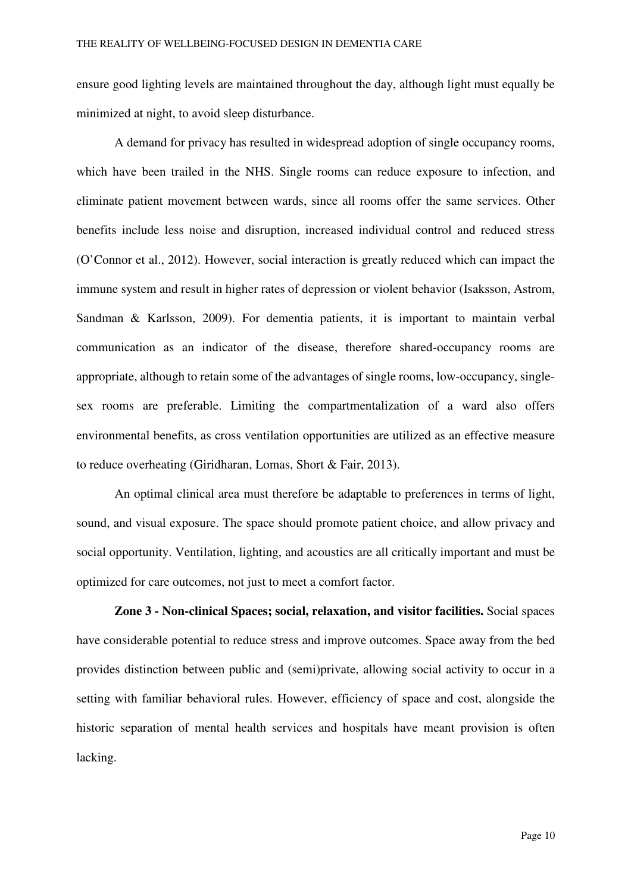ensure good lighting levels are maintained throughout the day, although light must equally be minimized at night, to avoid sleep disturbance.

A demand for privacy has resulted in widespread adoption of single occupancy rooms, which have been trailed in the NHS. Single rooms can reduce exposure to infection, and eliminate patient movement between wards, since all rooms offer the same services. Other benefits include less noise and disruption, increased individual control and reduced stress (O'Connor et al., 2012). However, social interaction is greatly reduced which can impact the immune system and result in higher rates of depression or violent behavior (Isaksson, Astrom, Sandman & Karlsson, 2009). For dementia patients, it is important to maintain verbal communication as an indicator of the disease, therefore shared-occupancy rooms are appropriate, although to retain some of the advantages of single rooms, low-occupancy, singlesex rooms are preferable. Limiting the compartmentalization of a ward also offers environmental benefits, as cross ventilation opportunities are utilized as an effective measure to reduce overheating (Giridharan, Lomas, Short & Fair, 2013).

An optimal clinical area must therefore be adaptable to preferences in terms of light, sound, and visual exposure. The space should promote patient choice, and allow privacy and social opportunity. Ventilation, lighting, and acoustics are all critically important and must be optimized for care outcomes, not just to meet a comfort factor.

**Zone 3 - Non-clinical Spaces; social, relaxation, and visitor facilities.** Social spaces have considerable potential to reduce stress and improve outcomes. Space away from the bed provides distinction between public and (semi)private, allowing social activity to occur in a setting with familiar behavioral rules. However, efficiency of space and cost, alongside the historic separation of mental health services and hospitals have meant provision is often lacking.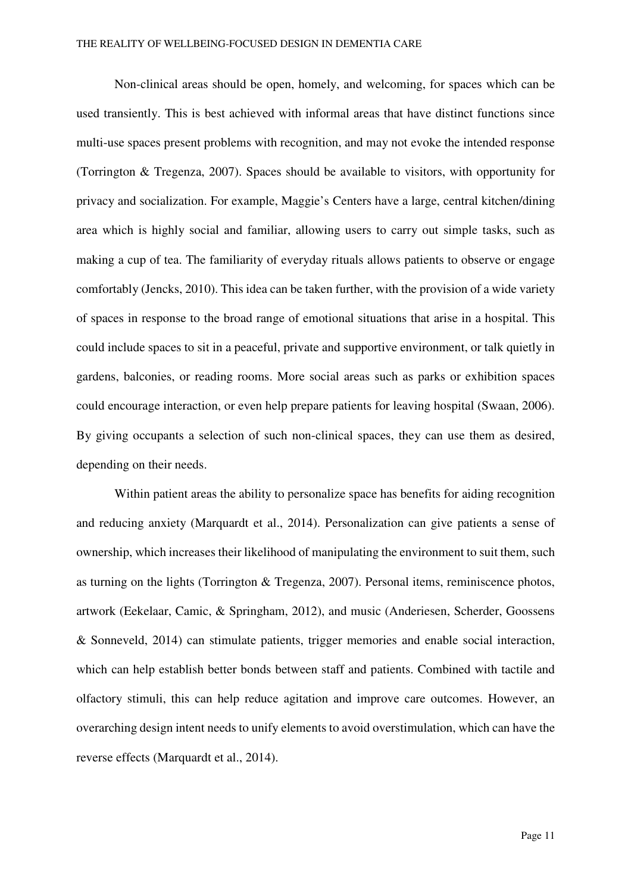Non-clinical areas should be open, homely, and welcoming, for spaces which can be used transiently. This is best achieved with informal areas that have distinct functions since multi-use spaces present problems with recognition, and may not evoke the intended response (Torrington & Tregenza, 2007). Spaces should be available to visitors, with opportunity for privacy and socialization. For example, Maggie's Centers have a large, central kitchen/dining area which is highly social and familiar, allowing users to carry out simple tasks, such as making a cup of tea. The familiarity of everyday rituals allows patients to observe or engage comfortably (Jencks, 2010). This idea can be taken further, with the provision of a wide variety of spaces in response to the broad range of emotional situations that arise in a hospital. This could include spaces to sit in a peaceful, private and supportive environment, or talk quietly in gardens, balconies, or reading rooms. More social areas such as parks or exhibition spaces could encourage interaction, or even help prepare patients for leaving hospital (Swaan, 2006). By giving occupants a selection of such non-clinical spaces, they can use them as desired, depending on their needs.

Within patient areas the ability to personalize space has benefits for aiding recognition and reducing anxiety (Marquardt et al., 2014). Personalization can give patients a sense of ownership, which increases their likelihood of manipulating the environment to suit them, such as turning on the lights (Torrington & Tregenza, 2007). Personal items, reminiscence photos, artwork (Eekelaar, Camic, & Springham, 2012), and music (Anderiesen, Scherder, Goossens & Sonneveld, 2014) can stimulate patients, trigger memories and enable social interaction, which can help establish better bonds between staff and patients. Combined with tactile and olfactory stimuli, this can help reduce agitation and improve care outcomes. However, an overarching design intent needs to unify elements to avoid overstimulation, which can have the reverse effects (Marquardt et al., 2014).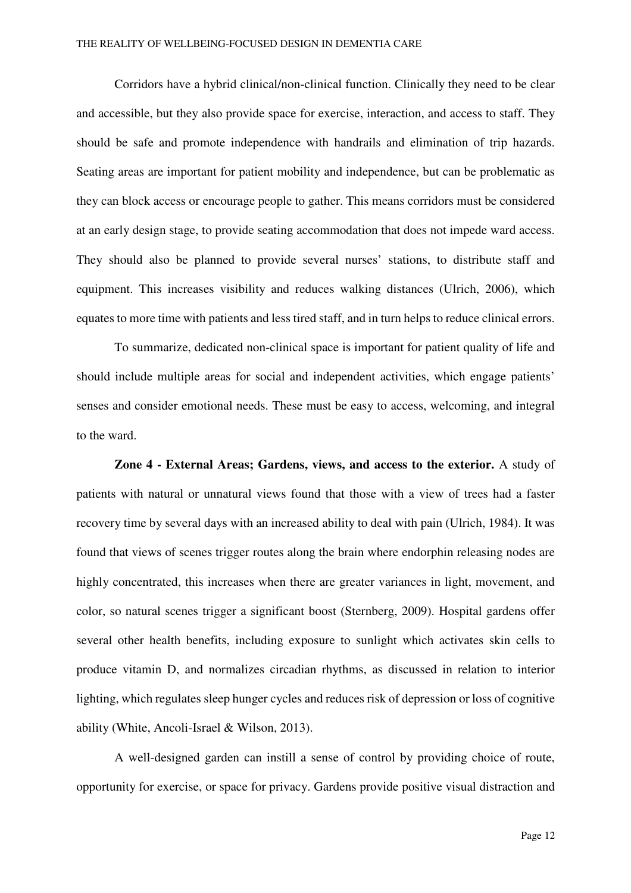Corridors have a hybrid clinical/non-clinical function. Clinically they need to be clear and accessible, but they also provide space for exercise, interaction, and access to staff. They should be safe and promote independence with handrails and elimination of trip hazards. Seating areas are important for patient mobility and independence, but can be problematic as they can block access or encourage people to gather. This means corridors must be considered at an early design stage, to provide seating accommodation that does not impede ward access. They should also be planned to provide several nurses' stations, to distribute staff and equipment. This increases visibility and reduces walking distances (Ulrich, 2006), which equates to more time with patients and less tired staff, and in turn helps to reduce clinical errors.

To summarize, dedicated non-clinical space is important for patient quality of life and should include multiple areas for social and independent activities, which engage patients' senses and consider emotional needs. These must be easy to access, welcoming, and integral to the ward.

**Zone 4 - External Areas; Gardens, views, and access to the exterior.** A study of patients with natural or unnatural views found that those with a view of trees had a faster recovery time by several days with an increased ability to deal with pain (Ulrich, 1984). It was found that views of scenes trigger routes along the brain where endorphin releasing nodes are highly concentrated, this increases when there are greater variances in light, movement, and color, so natural scenes trigger a significant boost (Sternberg, 2009). Hospital gardens offer several other health benefits, including exposure to sunlight which activates skin cells to produce vitamin D, and normalizes circadian rhythms, as discussed in relation to interior lighting, which regulates sleep hunger cycles and reduces risk of depression or loss of cognitive ability (White, Ancoli-Israel & Wilson, 2013).

A well-designed garden can instill a sense of control by providing choice of route, opportunity for exercise, or space for privacy. Gardens provide positive visual distraction and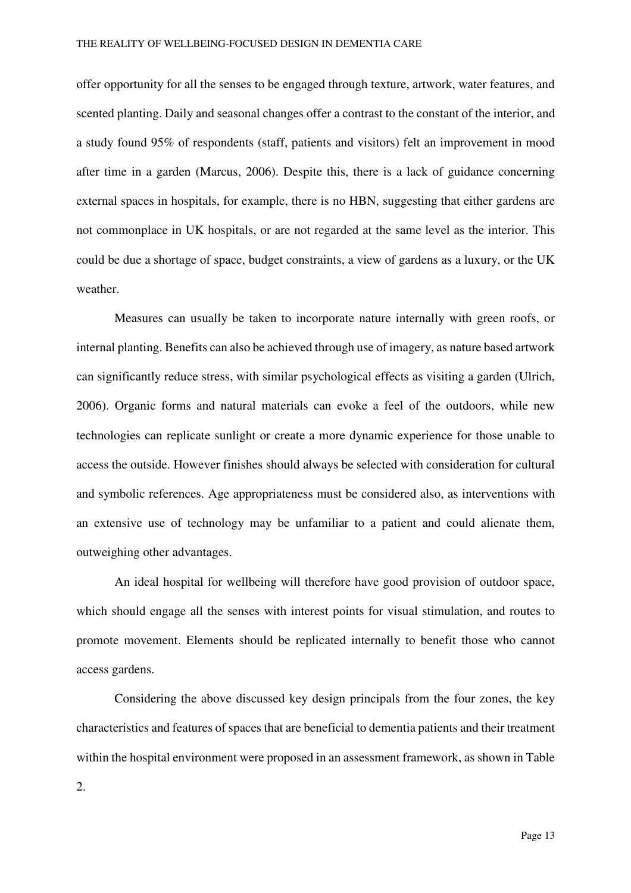offer opportunity for all the senses to be engaged through texture, artwork, water features, and scented planting. Daily and seasonal changes offer a contrast to the constant of the interior, and a study found 95% of respondents (staff, patients and visitors) felt an improvement in mood after time in a garden (Marcus, 2006). Despite this, there is a lack of guidance concerning external spaces in hospitals, for example, there is no HBN, suggesting that either gardens are not commonplace in UK hospitals, or are not regarded at the same level as the interior. This could be due a shortage of space, budget constraints, a view of gardens as a luxury, or the UK weather.

Measures can usually be taken to incorporate nature internally with green roofs, or internal planting. Benefits can also be achieved through use of imagery, as nature based artwork can significantly reduce stress, with similar psychological effects as visiting a garden (Ulrich, 2006). Organic forms and natural materials can evoke a feel of the outdoors, while new technologies can replicate sunlight or create a more dynamic experience for those unable to access the outside. However finishes should always be selected with consideration for cultural and symbolic references. Age appropriateness must be considered also, as interventions with an extensive use of technology may be unfamiliar to a patient and could alienate them, outweighing other advantages.

An ideal hospital for wellbeing will therefore have good provision of outdoor space, which should engage all the senses with interest points for visual stimulation, and routes to promote movement. Elements should be replicated internally to benefit those who cannot access gardens.

Considering the above discussed key design principals from the four zones, the key characteristics and features of spaces that are beneficial to dementia patients and their treatment within the hospital environment were proposed in an assessment framework, as shown in Table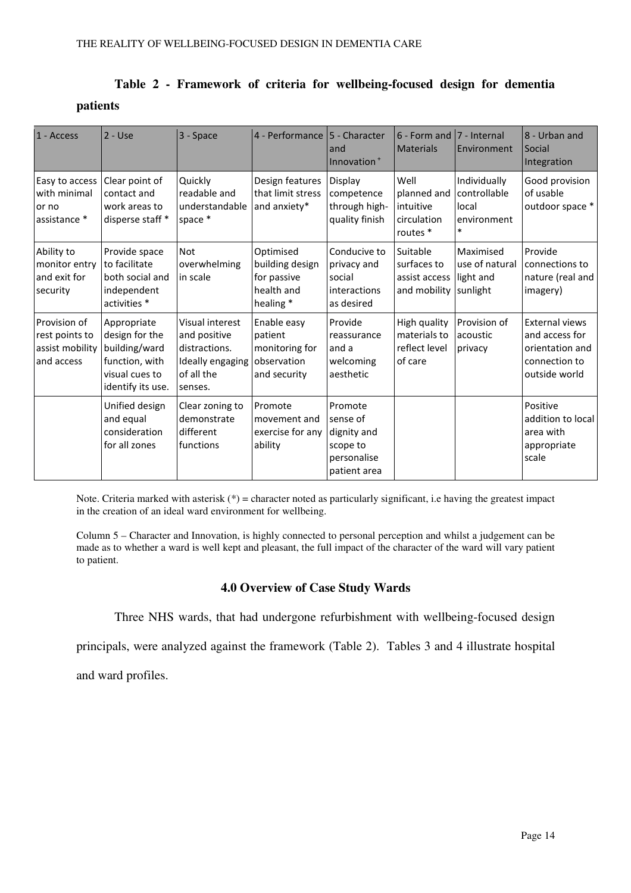|                 |  |  | Table 2 - Framework of criteria for wellbeing-focused design for dementia |  |  |
|-----------------|--|--|---------------------------------------------------------------------------|--|--|
| <i>patients</i> |  |  |                                                                           |  |  |

| 1 - Access                                                      | $2 - Use$                                                                                               | 3 - Space                                                                                     | 4 - Performance   5 - Character                                         | and<br>Innovation <sup>+</sup>                                                | $6 - Form$ and<br><b>Materials</b>                          | 7 - Internal<br>Environment                                    | 8 - Urban and<br>Social<br>Integration                                                       |
|-----------------------------------------------------------------|---------------------------------------------------------------------------------------------------------|-----------------------------------------------------------------------------------------------|-------------------------------------------------------------------------|-------------------------------------------------------------------------------|-------------------------------------------------------------|----------------------------------------------------------------|----------------------------------------------------------------------------------------------|
| Easy to access<br>with minimal<br>or no<br>assistance *         | Clear point of<br>contact and<br>work areas to<br>disperse staff *                                      | Quickly<br>readable and<br>understandable<br>space *                                          | Design features<br>that limit stress<br>and anxiety*                    | Display<br>competence<br>through high-<br>quality finish                      | Well<br>planned and<br>intuitive<br>circulation<br>routes * | Individually<br>controllable<br>local<br>environment<br>$\ast$ | Good provision<br>of usable<br>outdoor space *                                               |
| Ability to<br>monitor entry<br>and exit for<br>security         | Provide space<br>to facilitate<br>both social and<br>independent<br>activities *                        | Not<br>overwhelming<br>in scale                                                               | Optimised<br>building design<br>for passive<br>health and<br>healing *  | Conducive to<br>privacy and<br>social<br>interactions<br>as desired           | Suitable<br>surfaces to<br>assist access<br>and mobility    | Maximised<br>use of natural<br>light and<br>sunlight           | Provide<br>connections to<br>nature (real and<br>imagery)                                    |
| Provision of<br>rest points to<br>assist mobility<br>and access | Appropriate<br>design for the<br>building/ward<br>function, with<br>visual cues to<br>identify its use. | Visual interest<br>and positive<br>distractions.<br>Ideally engaging<br>of all the<br>senses. | Enable easy<br>patient<br>monitoring for<br>observation<br>and security | Provide<br>reassurance<br>and a<br>welcoming<br>aesthetic                     | High quality<br>materials to<br>reflect level<br>of care    | Provision of<br>acoustic<br>privacy                            | <b>External views</b><br>and access for<br>orientation and<br>connection to<br>outside world |
|                                                                 | Unified design<br>and equal<br>consideration<br>for all zones                                           | Clear zoning to<br>demonstrate<br>different<br>functions                                      | Promote<br>movement and<br>exercise for any<br>ability                  | Promote<br>sense of<br>dignity and<br>scope to<br>personalise<br>patient area |                                                             |                                                                | Positive<br>addition to local<br>area with<br>appropriate<br>scale                           |

Note. Criteria marked with asterisk  $(*)$  = character noted as particularly significant, i.e having the greatest impact in the creation of an ideal ward environment for wellbeing.

Column 5 – Character and Innovation, is highly connected to personal perception and whilst a judgement can be made as to whether a ward is well kept and pleasant, the full impact of the character of the ward will vary patient to patient.

#### **4.0 Overview of Case Study Wards**

Three NHS wards, that had undergone refurbishment with wellbeing-focused design

principals, were analyzed against the framework (Table 2). Tables 3 and 4 illustrate hospital

and ward profiles.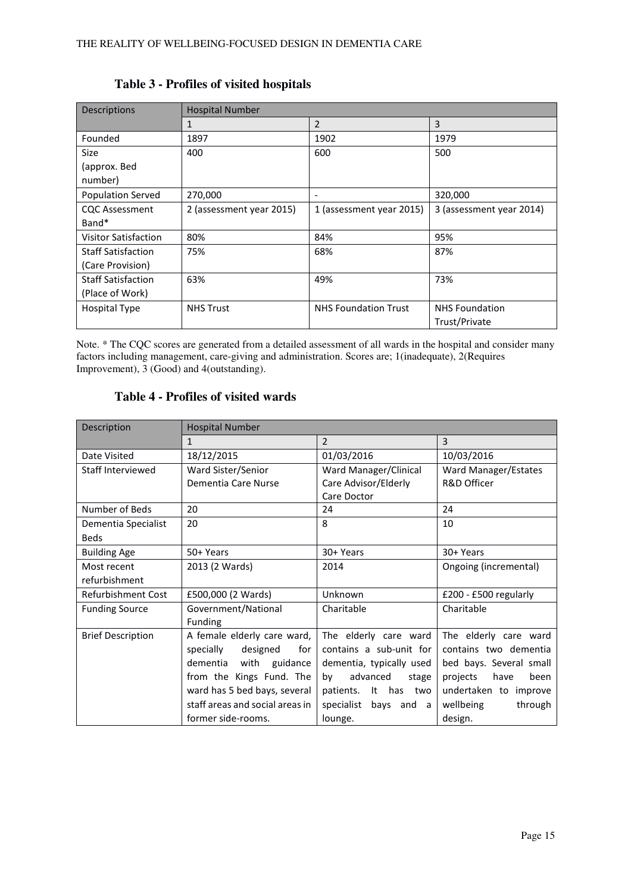| Descriptions                                      | <b>Hospital Number</b> |                             |                          |  |  |  |
|---------------------------------------------------|------------------------|-----------------------------|--------------------------|--|--|--|
|                                                   | $\mathbf{1}$           | $\overline{2}$              | 3                        |  |  |  |
| Founded                                           | 1897                   | 1902                        | 1979                     |  |  |  |
| Size                                              | 400                    | 600                         | 500                      |  |  |  |
| (approx. Bed                                      |                        |                             |                          |  |  |  |
| number)                                           |                        |                             |                          |  |  |  |
| <b>Population Served</b>                          | 270,000                | $\overline{\phantom{a}}$    | 320,000                  |  |  |  |
| 2 (assessment year 2015)<br><b>CQC Assessment</b> |                        | 1 (assessment year 2015)    | 3 (assessment year 2014) |  |  |  |
| Band*                                             |                        |                             |                          |  |  |  |
| <b>Visitor Satisfaction</b>                       | 80%                    | 84%                         | 95%                      |  |  |  |
| <b>Staff Satisfaction</b>                         | 75%                    | 68%                         | 87%                      |  |  |  |
| (Care Provision)                                  |                        |                             |                          |  |  |  |
| <b>Staff Satisfaction</b>                         | 63%                    | 49%                         | 73%                      |  |  |  |
| (Place of Work)                                   |                        |                             |                          |  |  |  |
| <b>Hospital Type</b>                              | <b>NHS Trust</b>       | <b>NHS Foundation Trust</b> | <b>NHS Foundation</b>    |  |  |  |
|                                                   |                        |                             | Trust/Private            |  |  |  |

#### **Table 3 - Profiles of visited hospitals**

Note. \* The CQC scores are generated from a detailed assessment of all wards in the hospital and consider many factors including management, care-giving and administration. Scores are; 1(inadequate), 2(Requires Improvement), 3 (Good) and 4(outstanding).

#### **Table 4 - Profiles of visited wards**

| Description              | <b>Hospital Number</b>          |                            |                          |  |  |
|--------------------------|---------------------------------|----------------------------|--------------------------|--|--|
|                          | $\mathbf{1}$                    | $\mathcal{P}$              | $\overline{3}$           |  |  |
| Date Visited             | 18/12/2015                      | 01/03/2016                 | 10/03/2016               |  |  |
| Staff Interviewed        | Ward Sister/Senior              | Ward Manager/Clinical      | Ward Manager/Estates     |  |  |
|                          | Dementia Care Nurse             | Care Advisor/Elderly       | <b>R&amp;D Officer</b>   |  |  |
|                          |                                 | Care Doctor                |                          |  |  |
| Number of Beds           | 20                              | 24                         | 24                       |  |  |
| Dementia Specialist      | 20                              | 8                          | 10                       |  |  |
| <b>Beds</b>              |                                 |                            |                          |  |  |
| <b>Building Age</b>      | 50+ Years                       | 30+ Years                  | 30+ Years                |  |  |
| Most recent              | 2013 (2 Wards)                  | 2014                       | Ongoing (incremental)    |  |  |
| refurbishment            |                                 |                            |                          |  |  |
| Refurbishment Cost       | £500,000 (2 Wards)              | Unknown                    | £200 - £500 regularly    |  |  |
| <b>Funding Source</b>    | Government/National             | Charitable                 | Charitable               |  |  |
|                          | Funding                         |                            |                          |  |  |
| <b>Brief Description</b> | A female elderly care ward,     | The elderly care ward      | The elderly care ward    |  |  |
|                          | specially<br>designed<br>for    | contains a sub-unit for    | contains two dementia    |  |  |
|                          | dementia<br>with<br>guidance    | dementia, typically used   | bed bays. Several small  |  |  |
|                          | from the Kings Fund. The        | advanced<br>by<br>stage    | projects<br>have<br>been |  |  |
|                          | ward has 5 bed bays, several    | patients.<br>It has<br>two | undertaken to improve    |  |  |
|                          | staff areas and social areas in | specialist<br>bays and a   | wellbeing<br>through     |  |  |
|                          | former side-rooms.              | lounge.                    | design.                  |  |  |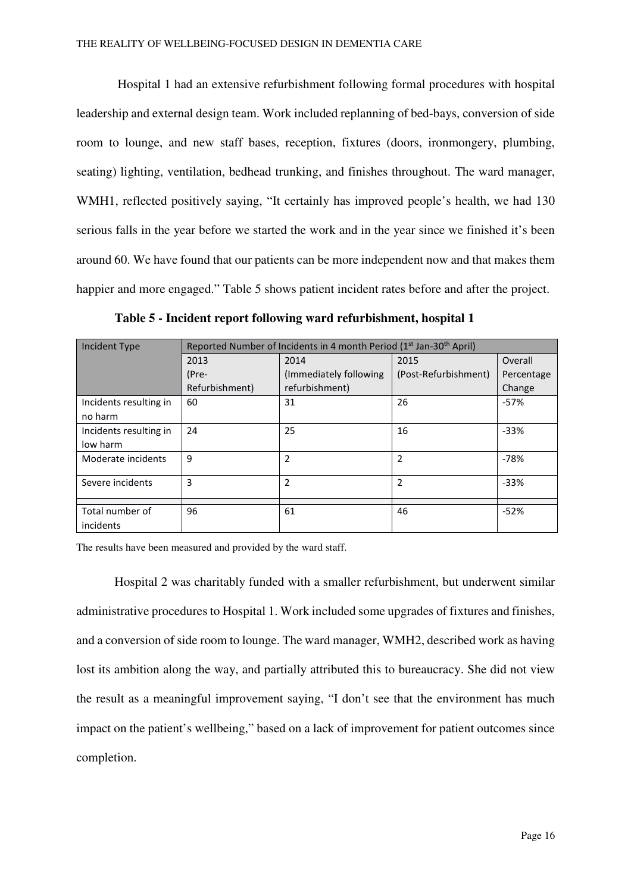Hospital 1 had an extensive refurbishment following formal procedures with hospital leadership and external design team. Work included replanning of bed-bays, conversion of side room to lounge, and new staff bases, reception, fixtures (doors, ironmongery, plumbing, seating) lighting, ventilation, bedhead trunking, and finishes throughout. The ward manager, WMH1, reflected positively saying, "It certainly has improved people's health, we had 130 serious falls in the year before we started the work and in the year since we finished it's been around 60. We have found that our patients can be more independent now and that makes them happier and more engaged." Table 5 shows patient incident rates before and after the project.

| <b>Incident Type</b>   | Reported Number of Incidents in 4 month Period (1 <sup>st</sup> Jan-30 <sup>th</sup> April) |                         |                      |            |  |  |  |
|------------------------|---------------------------------------------------------------------------------------------|-------------------------|----------------------|------------|--|--|--|
|                        | 2013                                                                                        | 2014                    | 2015                 | Overall    |  |  |  |
|                        | (Pre-                                                                                       | (Immediately following) | (Post-Refurbishment) | Percentage |  |  |  |
|                        | Refurbishment)                                                                              | refurbishment)          |                      | Change     |  |  |  |
| Incidents resulting in | 60                                                                                          | 31                      | 26                   | $-57%$     |  |  |  |
| no harm                |                                                                                             |                         |                      |            |  |  |  |
| Incidents resulting in | 24                                                                                          | 25                      | 16                   | $-33%$     |  |  |  |
| low harm               |                                                                                             |                         |                      |            |  |  |  |
| Moderate incidents     | 9                                                                                           | 2                       | 2                    | $-78%$     |  |  |  |
| Severe incidents       | 3                                                                                           | 2                       | 2                    | $-33%$     |  |  |  |
|                        |                                                                                             |                         |                      |            |  |  |  |
| Total number of        | 96                                                                                          | 61                      | 46                   | $-52%$     |  |  |  |
| incidents              |                                                                                             |                         |                      |            |  |  |  |

**Table 5 - Incident report following ward refurbishment, hospital 1** 

The results have been measured and provided by the ward staff.

Hospital 2 was charitably funded with a smaller refurbishment, but underwent similar administrative procedures to Hospital 1. Work included some upgrades of fixtures and finishes, and a conversion of side room to lounge. The ward manager, WMH2, described work as having lost its ambition along the way, and partially attributed this to bureaucracy. She did not view the result as a meaningful improvement saying, "I don't see that the environment has much impact on the patient's wellbeing," based on a lack of improvement for patient outcomes since completion.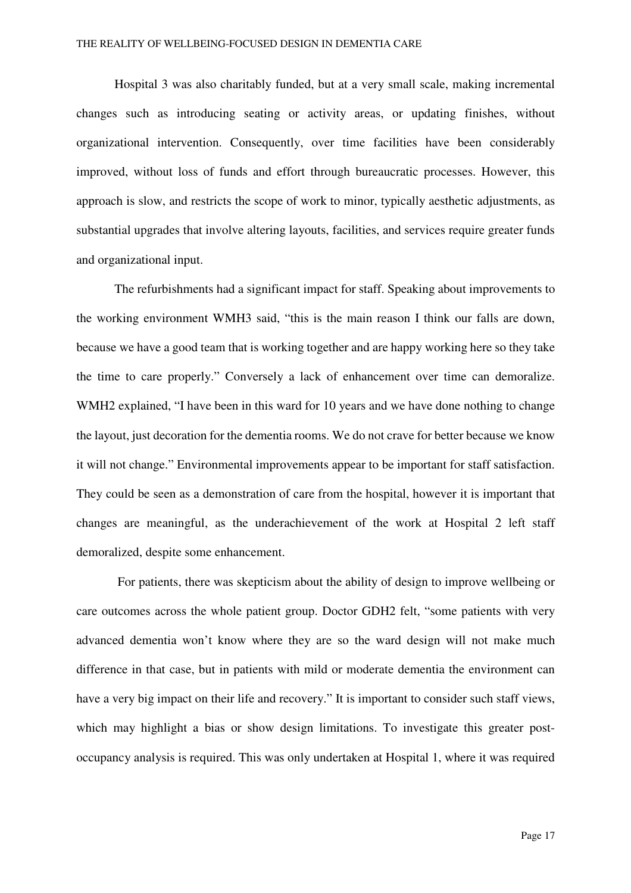Hospital 3 was also charitably funded, but at a very small scale, making incremental changes such as introducing seating or activity areas, or updating finishes, without organizational intervention. Consequently, over time facilities have been considerably improved, without loss of funds and effort through bureaucratic processes. However, this approach is slow, and restricts the scope of work to minor, typically aesthetic adjustments, as substantial upgrades that involve altering layouts, facilities, and services require greater funds and organizational input.

The refurbishments had a significant impact for staff. Speaking about improvements to the working environment WMH3 said, "this is the main reason I think our falls are down, because we have a good team that is working together and are happy working here so they take the time to care properly." Conversely a lack of enhancement over time can demoralize. WMH2 explained, "I have been in this ward for 10 years and we have done nothing to change the layout, just decoration for the dementia rooms. We do not crave for better because we know it will not change." Environmental improvements appear to be important for staff satisfaction. They could be seen as a demonstration of care from the hospital, however it is important that changes are meaningful, as the underachievement of the work at Hospital 2 left staff demoralized, despite some enhancement.

 For patients, there was skepticism about the ability of design to improve wellbeing or care outcomes across the whole patient group. Doctor GDH2 felt, "some patients with very advanced dementia won't know where they are so the ward design will not make much difference in that case, but in patients with mild or moderate dementia the environment can have a very big impact on their life and recovery." It is important to consider such staff views, which may highlight a bias or show design limitations. To investigate this greater postoccupancy analysis is required. This was only undertaken at Hospital 1, where it was required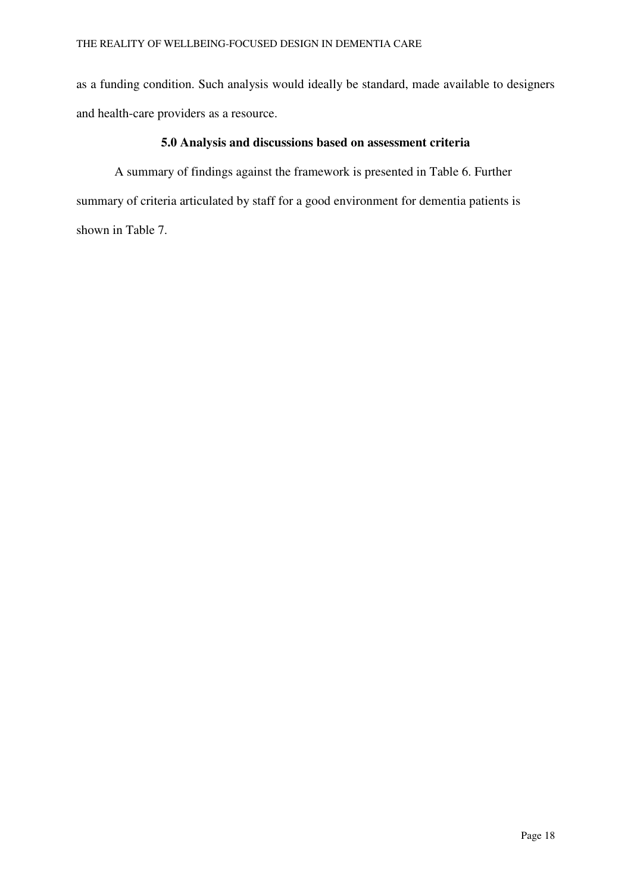as a funding condition. Such analysis would ideally be standard, made available to designers and health-care providers as a resource.

#### **5.0 Analysis and discussions based on assessment criteria**

A summary of findings against the framework is presented in Table 6. Further summary of criteria articulated by staff for a good environment for dementia patients is shown in Table 7.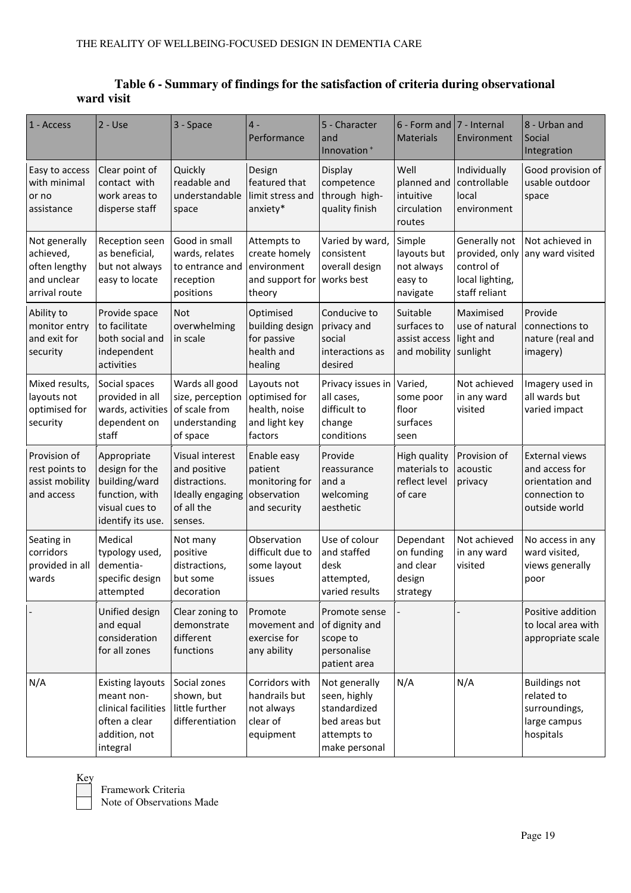| Table 6 - Summary of findings for the satisfaction of criteria during observational |
|-------------------------------------------------------------------------------------|
| ward visit                                                                          |

| 1 - Access                                                                  | $2 - Use$                                                                                                  | 3 - Space                                                                                     | $4 -$<br>Performance                                                      | 5 - Character<br>and<br>Innovation <sup>+</sup>                                                | 6 - Form and<br><b>Materials</b>                           | 7 - Internal<br>Environment                                                       | 8 - Urban and<br>Social<br>Integration                                                       |
|-----------------------------------------------------------------------------|------------------------------------------------------------------------------------------------------------|-----------------------------------------------------------------------------------------------|---------------------------------------------------------------------------|------------------------------------------------------------------------------------------------|------------------------------------------------------------|-----------------------------------------------------------------------------------|----------------------------------------------------------------------------------------------|
| Easy to access<br>with minimal<br>or no<br>assistance                       | Clear point of<br>contact with<br>work areas to<br>disperse staff                                          | Quickly<br>readable and<br>understandable<br>space                                            | Design<br>featured that<br>limit stress and<br>anxiety*                   | Display<br>competence<br>through high-<br>quality finish                                       | Well<br>planned and<br>intuitive<br>circulation<br>routes  | Individually<br>controllable<br>local<br>environment                              | Good provision of<br>usable outdoor<br>space                                                 |
| Not generally<br>achieved,<br>often lengthy<br>and unclear<br>arrival route | Reception seen<br>as beneficial,<br>but not always<br>easy to locate                                       | Good in small<br>wards, relates<br>to entrance and<br>reception<br>positions                  | Attempts to<br>create homely<br>environment<br>and support for<br>theory  | Varied by ward,<br>consistent<br>overall design<br>works best                                  | Simple<br>layouts but<br>not always<br>easy to<br>navigate | Generally not<br>provided, only<br>control of<br>local lighting,<br>staff reliant | Not achieved in<br>any ward visited                                                          |
| Ability to<br>monitor entry<br>and exit for<br>security                     | Provide space<br>to facilitate<br>both social and<br>independent<br>activities                             | Not<br>overwhelming<br>in scale                                                               | Optimised<br>building design<br>for passive<br>health and<br>healing      | Conducive to<br>privacy and<br>social<br>interactions as<br>desired                            | Suitable<br>surfaces to<br>assist access<br>and mobility   | Maximised<br>use of natural<br>light and<br>sunlight                              | Provide<br>connections to<br>nature (real and<br>imagery)                                    |
| Mixed results,<br>layouts not<br>optimised for<br>security                  | Social spaces<br>provided in all<br>wards, activities<br>dependent on<br>staff                             | Wards all good<br>size, perception<br>of scale from<br>understanding<br>of space              | Layouts not<br>optimised for<br>health, noise<br>and light key<br>factors | Privacy issues in<br>all cases,<br>difficult to<br>change<br>conditions                        | Varied,<br>some poor<br>floor<br>surfaces<br>seen          | Not achieved<br>in any ward<br>visited                                            | Imagery used in<br>all wards but<br>varied impact                                            |
| Provision of<br>rest points to<br>assist mobility<br>and access             | Appropriate<br>design for the<br>building/ward<br>function, with<br>visual cues to<br>identify its use.    | Visual interest<br>and positive<br>distractions.<br>Ideally engaging<br>of all the<br>senses. | Enable easy<br>patient<br>monitoring for<br>observation<br>and security   | Provide<br>reassurance<br>and a<br>welcoming<br>aesthetic                                      | High quality<br>materials to<br>reflect level<br>of care   | Provision of<br>acoustic<br>privacy                                               | <b>External views</b><br>and access for<br>orientation and<br>connection to<br>outside world |
| Seating in<br>corridors<br>provided in all<br>wards                         | Medical<br>typology used,<br>dementia-<br>specific design<br>attempted                                     | Not many<br>positive<br>distractions,<br>but some<br>decoration                               | Observation<br>difficult due to<br>some layout<br>issues                  | Use of colour<br>and staffed<br>desk<br>attempted,<br>varied results                           | Dependant<br>on funding<br>and clear<br>design<br>strategy | Not achieved<br>in any ward<br>visited                                            | No access in any<br>ward visited,<br>views generally<br>poor                                 |
|                                                                             | Unified design<br>and equal<br>consideration<br>for all zones                                              | Clear zoning to<br>demonstrate<br>different<br>functions                                      | Promote<br>movement and<br>exercise for<br>any ability                    | Promote sense<br>of dignity and<br>scope to<br>personalise<br>patient area                     |                                                            |                                                                                   | Positive addition<br>to local area with<br>appropriate scale                                 |
| N/A                                                                         | <b>Existing layouts</b><br>meant non-<br>clinical facilities<br>often a clear<br>addition, not<br>integral | Social zones<br>shown, but<br>little further<br>differentiation                               | Corridors with<br>handrails but<br>not always<br>clear of<br>equipment    | Not generally<br>seen, highly<br>standardized<br>bed areas but<br>attempts to<br>make personal | N/A                                                        | N/A                                                                               | <b>Buildings not</b><br>related to<br>surroundings,<br>large campus<br>hospitals             |

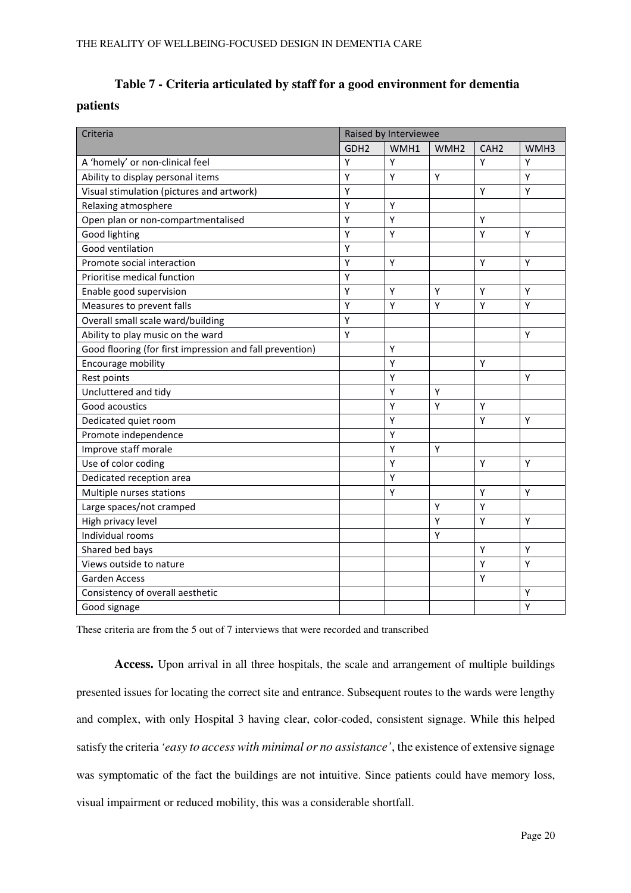### **Table 7 - Criteria articulated by staff for a good environment for dementia**

#### **patients**

| Criteria                                                 | Raised by Interviewee |      |                  |                  |                  |  |
|----------------------------------------------------------|-----------------------|------|------------------|------------------|------------------|--|
|                                                          | GDH <sub>2</sub>      | WMH1 | WMH <sub>2</sub> | CAH <sub>2</sub> | WMH <sub>3</sub> |  |
| A 'homely' or non-clinical feel                          | Y                     | Υ    |                  | Υ                | Y                |  |
| Ability to display personal items                        | Ý                     | Y    | Y                |                  | Y                |  |
| Visual stimulation (pictures and artwork)                | Υ                     |      |                  | Y                | Y                |  |
| Relaxing atmosphere                                      | Y                     | Υ    |                  |                  |                  |  |
| Open plan or non-compartmentalised                       | Υ                     | Υ    |                  | Υ                |                  |  |
| Good lighting                                            | Υ                     | Υ    |                  | Υ                | Y                |  |
| Good ventilation                                         | Υ                     |      |                  |                  |                  |  |
| Promote social interaction                               | Υ                     | Y    |                  | Y                | Y                |  |
| Prioritise medical function                              | Υ                     |      |                  |                  |                  |  |
| Enable good supervision                                  | Υ                     | Υ    | Υ                | Υ                | Υ                |  |
| Measures to prevent falls                                | Y                     | Υ    | Y                | Y                | Y                |  |
| Overall small scale ward/building                        | Υ                     |      |                  |                  |                  |  |
| Ability to play music on the ward                        | Y                     |      |                  |                  | Y                |  |
| Good flooring (for first impression and fall prevention) |                       | Υ    |                  |                  |                  |  |
| Encourage mobility                                       |                       | Υ    |                  | Υ                |                  |  |
| Rest points                                              |                       | Υ    |                  |                  | Y                |  |
| Uncluttered and tidy                                     |                       | Υ    | Y                |                  |                  |  |
| Good acoustics                                           |                       | Υ    | Y                | Υ                |                  |  |
| Dedicated quiet room                                     |                       | Υ    |                  | Y                | Y                |  |
| Promote independence                                     |                       | Υ    |                  |                  |                  |  |
| Improve staff morale                                     |                       | Υ    | Y                |                  |                  |  |
| Use of color coding                                      |                       | Y    |                  | Y                | Y                |  |
| Dedicated reception area                                 |                       | Υ    |                  |                  |                  |  |
| Multiple nurses stations                                 |                       | Υ    |                  | Υ                | Y                |  |
| Large spaces/not cramped                                 |                       |      | Y                | Υ                |                  |  |
| High privacy level                                       |                       |      | Y                | Υ                | Y                |  |
| Individual rooms                                         |                       |      | Y                |                  |                  |  |
| Shared bed bays                                          |                       |      |                  | Y                | Y                |  |
| Views outside to nature                                  |                       |      |                  | Υ                | Y                |  |
| <b>Garden Access</b>                                     |                       |      |                  | Υ                |                  |  |
| Consistency of overall aesthetic                         |                       |      |                  |                  | Υ                |  |
| Good signage                                             |                       |      |                  |                  | Y                |  |

These criteria are from the 5 out of 7 interviews that were recorded and transcribed

**Access.** Upon arrival in all three hospitals, the scale and arrangement of multiple buildings presented issues for locating the correct site and entrance. Subsequent routes to the wards were lengthy and complex, with only Hospital 3 having clear, color-coded, consistent signage. While this helped satisfy the criteria *'easy to access with minimal or no assistance'*, the existence of extensive signage was symptomatic of the fact the buildings are not intuitive. Since patients could have memory loss, visual impairment or reduced mobility, this was a considerable shortfall.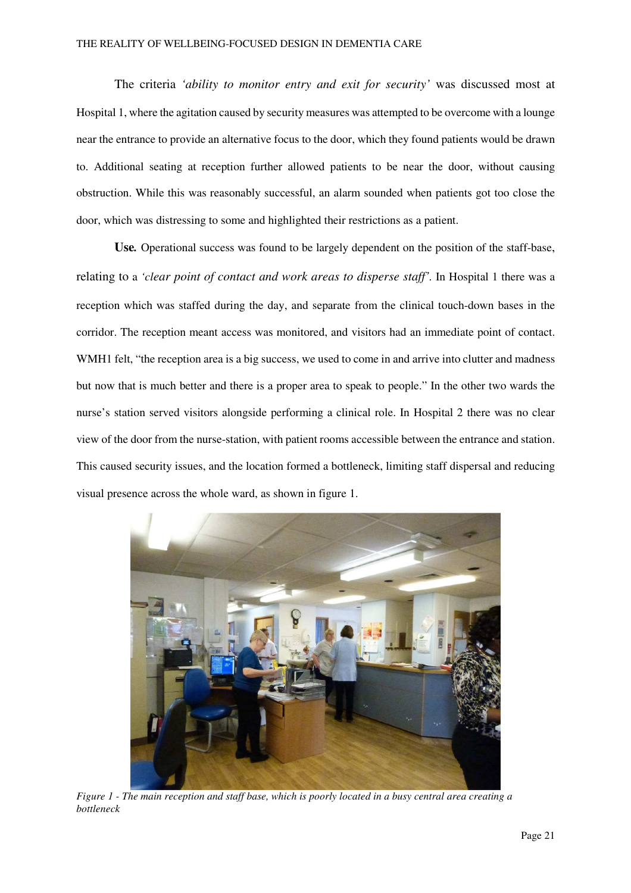The criteria *'ability to monitor entry and exit for security'* was discussed most at Hospital 1, where the agitation caused by security measures was attempted to be overcome with a lounge near the entrance to provide an alternative focus to the door, which they found patients would be drawn to. Additional seating at reception further allowed patients to be near the door, without causing obstruction. While this was reasonably successful, an alarm sounded when patients got too close the door, which was distressing to some and highlighted their restrictions as a patient.

**Use***.* Operational success was found to be largely dependent on the position of the staff-base, relating to a *'clear point of contact and work areas to disperse staff'.* In Hospital 1 there was a reception which was staffed during the day, and separate from the clinical touch-down bases in the corridor. The reception meant access was monitored, and visitors had an immediate point of contact. WMH1 felt, "the reception area is a big success, we used to come in and arrive into clutter and madness but now that is much better and there is a proper area to speak to people." In the other two wards the nurse's station served visitors alongside performing a clinical role. In Hospital 2 there was no clear view of the door from the nurse-station, with patient rooms accessible between the entrance and station. This caused security issues, and the location formed a bottleneck, limiting staff dispersal and reducing visual presence across the whole ward, as shown in figure 1.



*Figure 1 - The main reception and staff base, which is poorly located in a busy central area creating a bottleneck*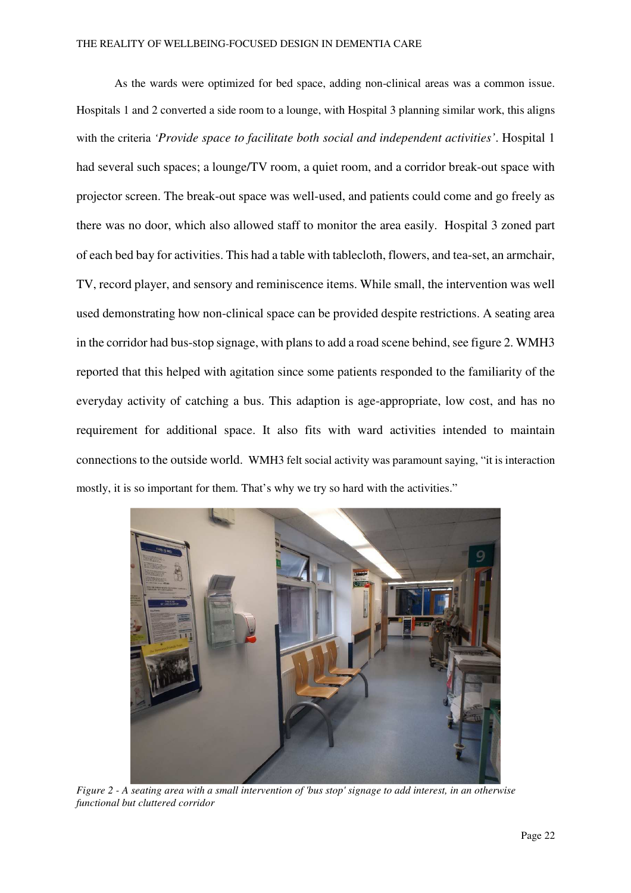As the wards were optimized for bed space, adding non-clinical areas was a common issue. Hospitals 1 and 2 converted a side room to a lounge, with Hospital 3 planning similar work, this aligns with the criteria *'Provide space to facilitate both social and independent activities'*. Hospital 1 had several such spaces; a lounge/TV room, a quiet room, and a corridor break-out space with projector screen. The break-out space was well-used, and patients could come and go freely as there was no door, which also allowed staff to monitor the area easily. Hospital 3 zoned part of each bed bay for activities. This had a table with tablecloth, flowers, and tea-set, an armchair, TV, record player, and sensory and reminiscence items. While small, the intervention was well used demonstrating how non-clinical space can be provided despite restrictions. A seating area in the corridor had bus-stop signage, with plans to add a road scene behind, see figure 2. WMH3 reported that this helped with agitation since some patients responded to the familiarity of the everyday activity of catching a bus. This adaption is age-appropriate, low cost, and has no requirement for additional space. It also fits with ward activities intended to maintain connections to the outside world. WMH3 felt social activity was paramount saying, "it is interaction mostly, it is so important for them. That's why we try so hard with the activities."



*Figure 2 - A seating area with a small intervention of 'bus stop' signage to add interest, in an otherwise functional but cluttered corridor*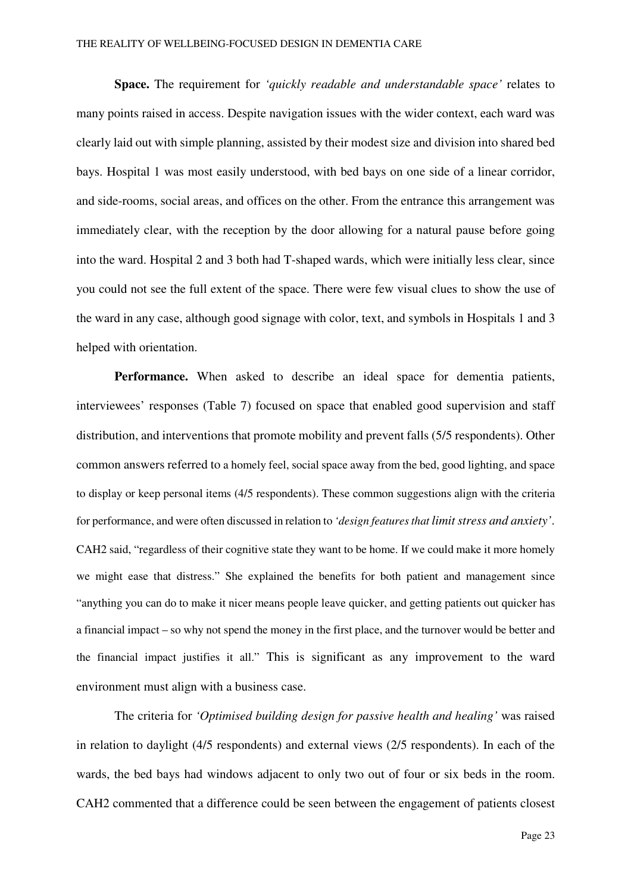**Space.** The requirement for *'quickly readable and understandable space'* relates to many points raised in access. Despite navigation issues with the wider context, each ward was clearly laid out with simple planning, assisted by their modest size and division into shared bed bays. Hospital 1 was most easily understood, with bed bays on one side of a linear corridor, and side-rooms, social areas, and offices on the other. From the entrance this arrangement was immediately clear, with the reception by the door allowing for a natural pause before going into the ward. Hospital 2 and 3 both had T-shaped wards, which were initially less clear, since you could not see the full extent of the space. There were few visual clues to show the use of the ward in any case, although good signage with color, text, and symbols in Hospitals 1 and 3 helped with orientation.

**Performance.** When asked to describe an ideal space for dementia patients, interviewees' responses (Table 7) focused on space that enabled good supervision and staff distribution, and interventions that promote mobility and prevent falls (5/5 respondents). Other common answers referred to a homely feel, social space away from the bed, good lighting, and space to display or keep personal items (4/5 respondents). These common suggestions align with the criteria for performance, and were often discussed in relation to *'design features that limit stress and anxiety'*. CAH2 said, "regardless of their cognitive state they want to be home. If we could make it more homely we might ease that distress." She explained the benefits for both patient and management since "anything you can do to make it nicer means people leave quicker, and getting patients out quicker has a financial impact – so why not spend the money in the first place, and the turnover would be better and the financial impact justifies it all." This is significant as any improvement to the ward environment must align with a business case.

The criteria for *'Optimised building design for passive health and healing'* was raised in relation to daylight (4/5 respondents) and external views (2/5 respondents). In each of the wards, the bed bays had windows adjacent to only two out of four or six beds in the room. CAH2 commented that a difference could be seen between the engagement of patients closest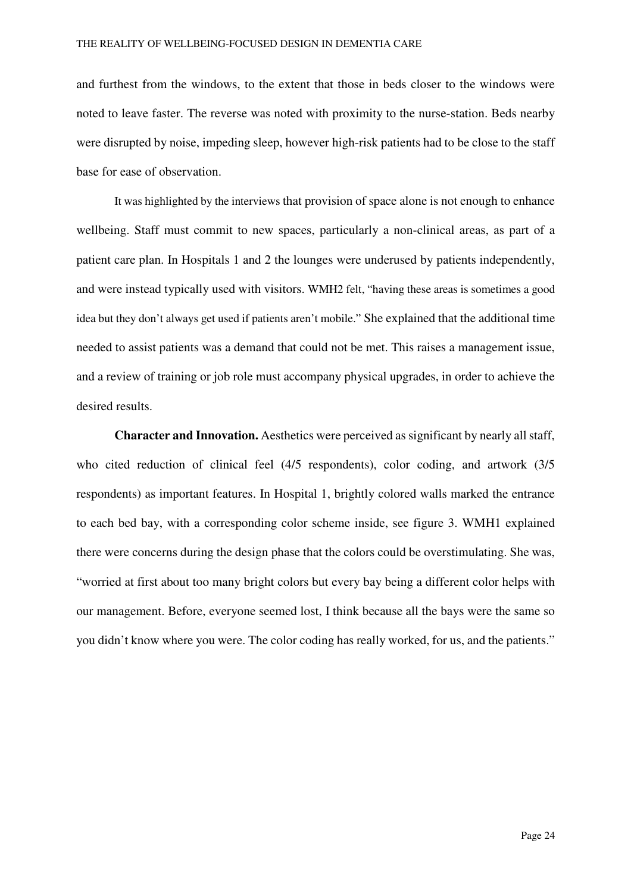and furthest from the windows, to the extent that those in beds closer to the windows were noted to leave faster. The reverse was noted with proximity to the nurse-station. Beds nearby were disrupted by noise, impeding sleep, however high-risk patients had to be close to the staff base for ease of observation.

It was highlighted by the interviews that provision of space alone is not enough to enhance wellbeing. Staff must commit to new spaces, particularly a non-clinical areas, as part of a patient care plan. In Hospitals 1 and 2 the lounges were underused by patients independently, and were instead typically used with visitors. WMH2 felt, "having these areas is sometimes a good idea but they don't always get used if patients aren't mobile." She explained that the additional time needed to assist patients was a demand that could not be met. This raises a management issue, and a review of training or job role must accompany physical upgrades, in order to achieve the desired results.

**Character and Innovation.** Aesthetics were perceived as significant by nearly all staff, who cited reduction of clinical feel (4/5 respondents), color coding, and artwork (3/5 respondents) as important features. In Hospital 1, brightly colored walls marked the entrance to each bed bay, with a corresponding color scheme inside, see figure 3. WMH1 explained there were concerns during the design phase that the colors could be overstimulating. She was, "worried at first about too many bright colors but every bay being a different color helps with our management. Before, everyone seemed lost, I think because all the bays were the same so you didn't know where you were. The color coding has really worked, for us, and the patients."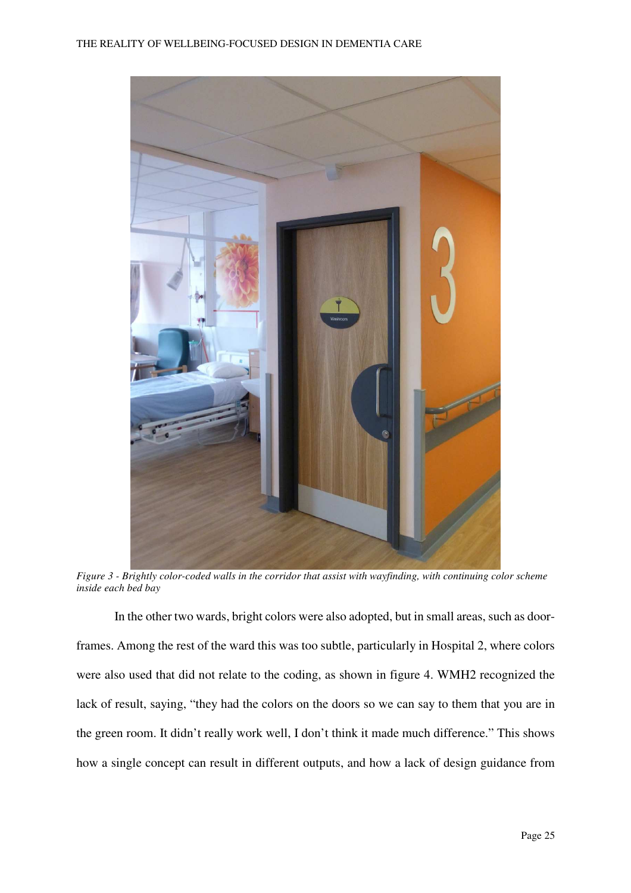

*Figure 3 - Brightly color-coded walls in the corridor that assist with wayfinding, with continuing color scheme inside each bed bay* 

In the other two wards, bright colors were also adopted, but in small areas, such as doorframes. Among the rest of the ward this was too subtle, particularly in Hospital 2, where colors were also used that did not relate to the coding, as shown in figure 4. WMH2 recognized the lack of result, saying, "they had the colors on the doors so we can say to them that you are in the green room. It didn't really work well, I don't think it made much difference." This shows how a single concept can result in different outputs, and how a lack of design guidance from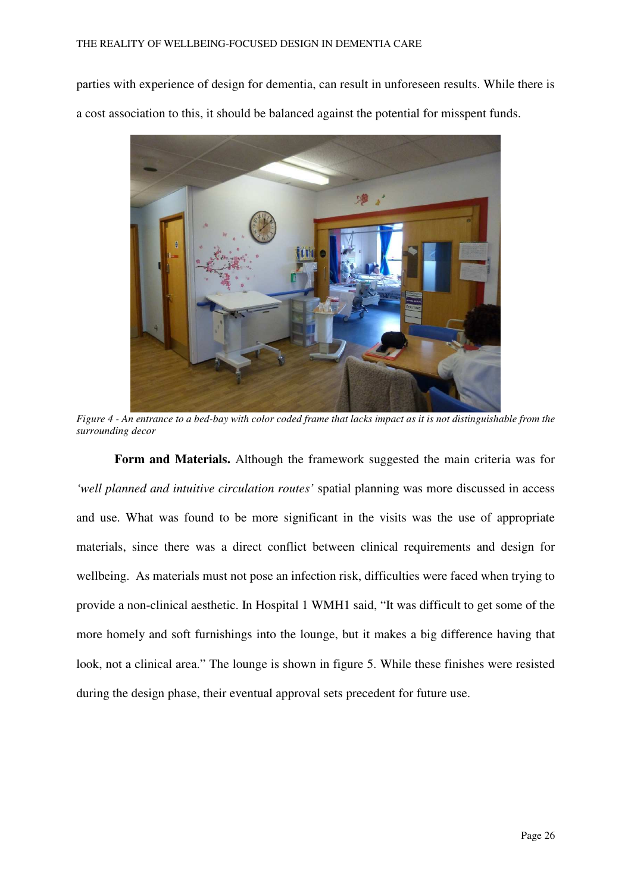parties with experience of design for dementia, can result in unforeseen results. While there is a cost association to this, it should be balanced against the potential for misspent funds.



*Figure 4 - An entrance to a bed-bay with color coded frame that lacks impact as it is not distinguishable from the surrounding decor* 

**Form and Materials.** Although the framework suggested the main criteria was for *'well planned and intuitive circulation routes'* spatial planning was more discussed in access and use. What was found to be more significant in the visits was the use of appropriate materials, since there was a direct conflict between clinical requirements and design for wellbeing. As materials must not pose an infection risk, difficulties were faced when trying to provide a non-clinical aesthetic. In Hospital 1 WMH1 said, "It was difficult to get some of the more homely and soft furnishings into the lounge, but it makes a big difference having that look, not a clinical area." The lounge is shown in figure 5. While these finishes were resisted during the design phase, their eventual approval sets precedent for future use.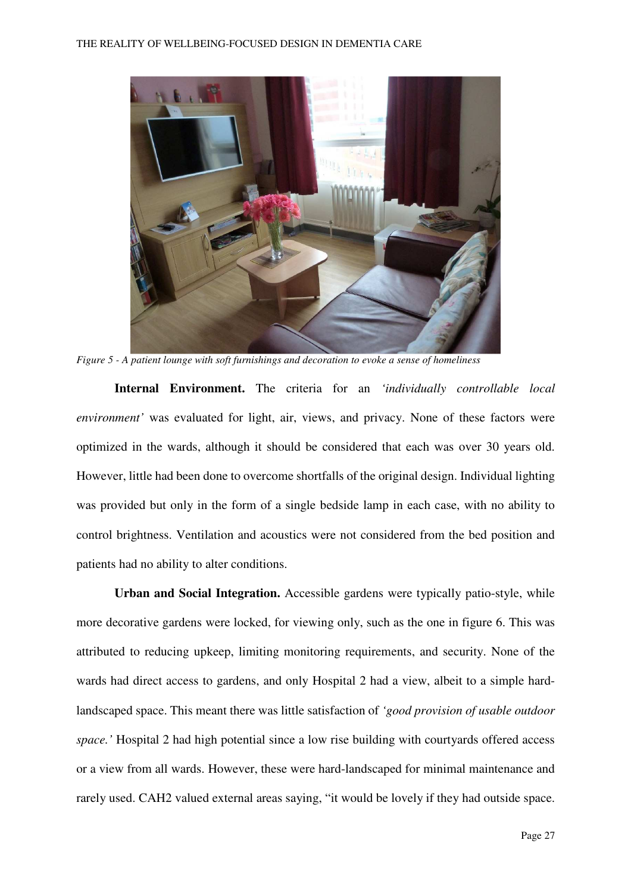

*Figure 5 - A patient lounge with soft furnishings and decoration to evoke a sense of homeliness* 

**Internal Environment.** The criteria for an *'individually controllable local environment'* was evaluated for light, air, views, and privacy. None of these factors were optimized in the wards, although it should be considered that each was over 30 years old. However, little had been done to overcome shortfalls of the original design. Individual lighting was provided but only in the form of a single bedside lamp in each case, with no ability to control brightness. Ventilation and acoustics were not considered from the bed position and patients had no ability to alter conditions.

**Urban and Social Integration.** Accessible gardens were typically patio-style, while more decorative gardens were locked, for viewing only, such as the one in figure 6. This was attributed to reducing upkeep, limiting monitoring requirements, and security. None of the wards had direct access to gardens, and only Hospital 2 had a view, albeit to a simple hardlandscaped space. This meant there was little satisfaction of *'good provision of usable outdoor space.'* Hospital 2 had high potential since a low rise building with courtyards offered access or a view from all wards. However, these were hard-landscaped for minimal maintenance and rarely used. CAH2 valued external areas saying, "it would be lovely if they had outside space.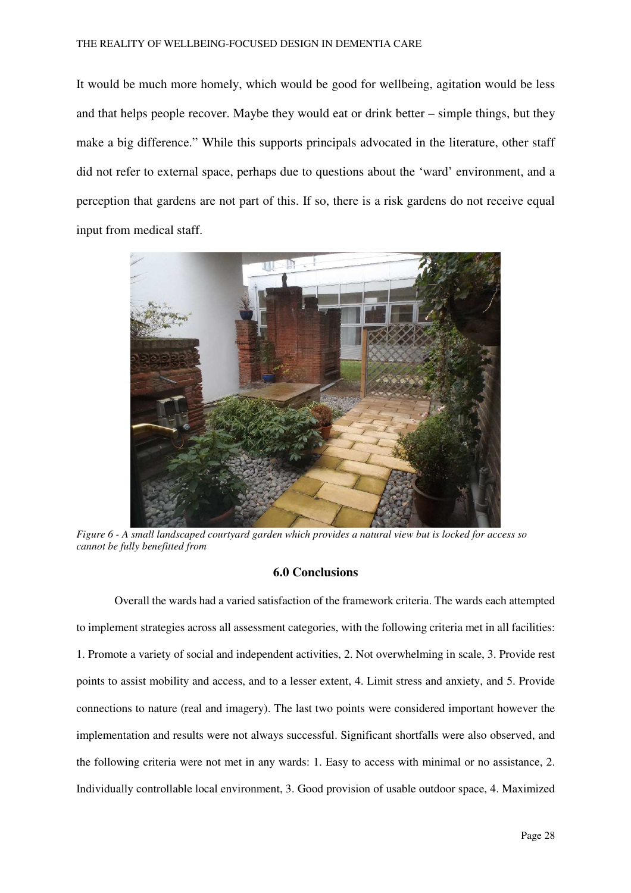It would be much more homely, which would be good for wellbeing, agitation would be less and that helps people recover. Maybe they would eat or drink better – simple things, but they make a big difference." While this supports principals advocated in the literature, other staff did not refer to external space, perhaps due to questions about the 'ward' environment, and a perception that gardens are not part of this. If so, there is a risk gardens do not receive equal input from medical staff.



*Figure 6 - A small landscaped courtyard garden which provides a natural view but is locked for access so cannot be fully benefitted from* 

#### **6.0 Conclusions**

Overall the wards had a varied satisfaction of the framework criteria. The wards each attempted to implement strategies across all assessment categories, with the following criteria met in all facilities: 1. Promote a variety of social and independent activities, 2. Not overwhelming in scale, 3. Provide rest points to assist mobility and access, and to a lesser extent, 4. Limit stress and anxiety, and 5. Provide connections to nature (real and imagery). The last two points were considered important however the implementation and results were not always successful. Significant shortfalls were also observed, and the following criteria were not met in any wards: 1. Easy to access with minimal or no assistance, 2. Individually controllable local environment, 3. Good provision of usable outdoor space, 4. Maximized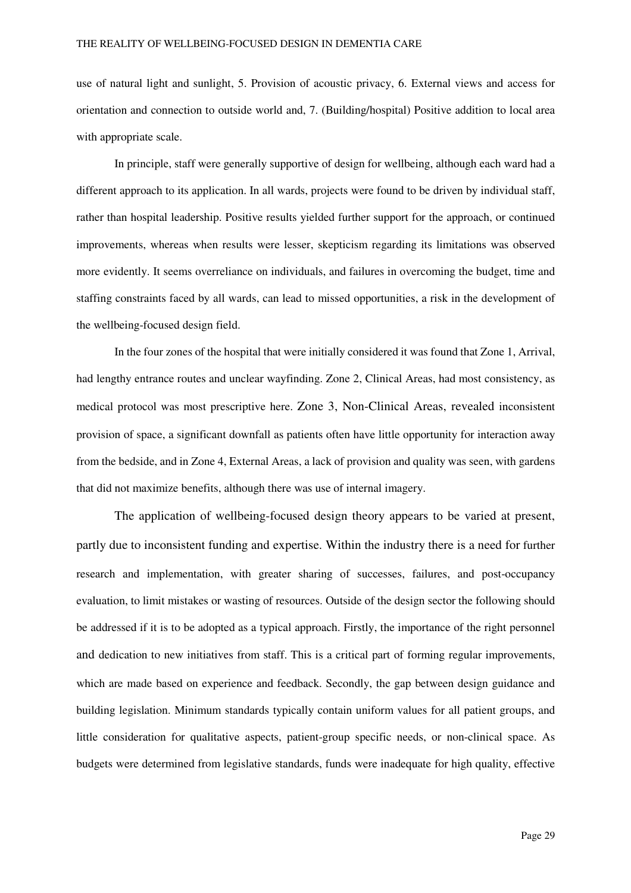use of natural light and sunlight, 5. Provision of acoustic privacy, 6. External views and access for orientation and connection to outside world and, 7. (Building/hospital) Positive addition to local area with appropriate scale.

In principle, staff were generally supportive of design for wellbeing, although each ward had a different approach to its application. In all wards, projects were found to be driven by individual staff, rather than hospital leadership. Positive results yielded further support for the approach, or continued improvements, whereas when results were lesser, skepticism regarding its limitations was observed more evidently. It seems overreliance on individuals, and failures in overcoming the budget, time and staffing constraints faced by all wards, can lead to missed opportunities, a risk in the development of the wellbeing-focused design field.

In the four zones of the hospital that were initially considered it was found that Zone 1, Arrival, had lengthy entrance routes and unclear wayfinding. Zone 2, Clinical Areas, had most consistency, as medical protocol was most prescriptive here. Zone 3, Non-Clinical Areas, revealed inconsistent provision of space, a significant downfall as patients often have little opportunity for interaction away from the bedside, and in Zone 4, External Areas, a lack of provision and quality was seen, with gardens that did not maximize benefits, although there was use of internal imagery.

The application of wellbeing-focused design theory appears to be varied at present, partly due to inconsistent funding and expertise. Within the industry there is a need for further research and implementation, with greater sharing of successes, failures, and post-occupancy evaluation, to limit mistakes or wasting of resources. Outside of the design sector the following should be addressed if it is to be adopted as a typical approach. Firstly, the importance of the right personnel and dedication to new initiatives from staff. This is a critical part of forming regular improvements, which are made based on experience and feedback. Secondly, the gap between design guidance and building legislation. Minimum standards typically contain uniform values for all patient groups, and little consideration for qualitative aspects, patient-group specific needs, or non-clinical space. As budgets were determined from legislative standards, funds were inadequate for high quality, effective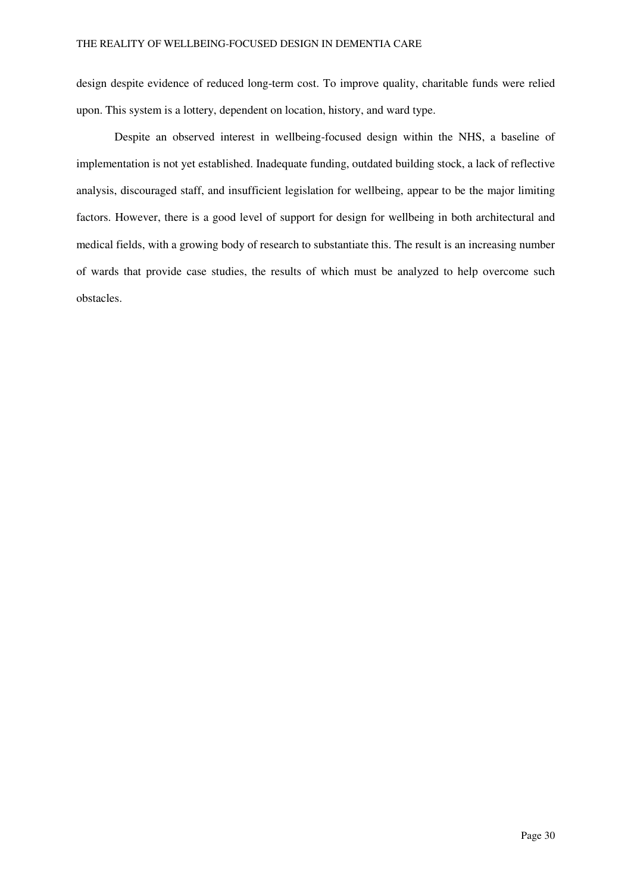design despite evidence of reduced long-term cost. To improve quality, charitable funds were relied upon. This system is a lottery, dependent on location, history, and ward type.

Despite an observed interest in wellbeing-focused design within the NHS, a baseline of implementation is not yet established. Inadequate funding, outdated building stock, a lack of reflective analysis, discouraged staff, and insufficient legislation for wellbeing, appear to be the major limiting factors. However, there is a good level of support for design for wellbeing in both architectural and medical fields, with a growing body of research to substantiate this. The result is an increasing number of wards that provide case studies, the results of which must be analyzed to help overcome such obstacles.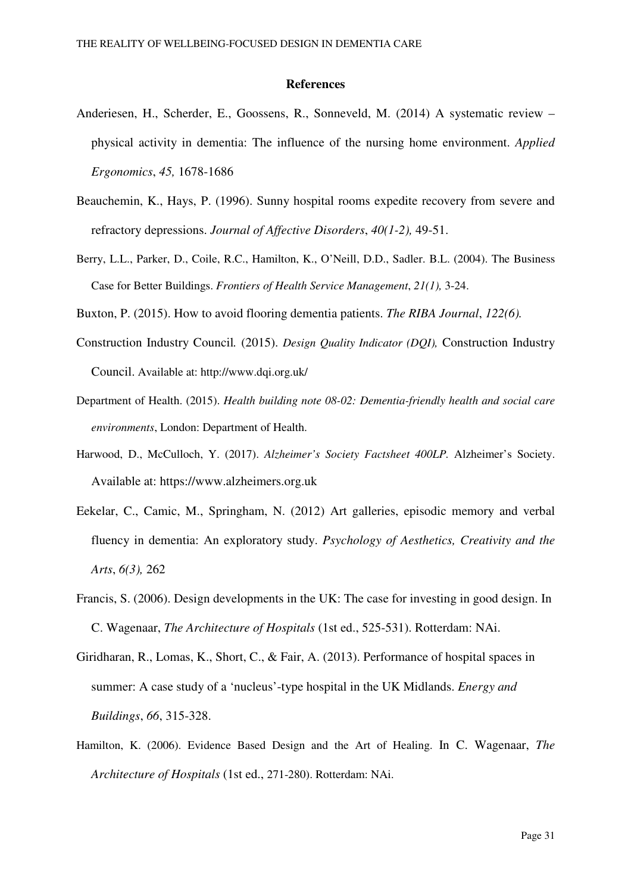#### **References**

- Anderiesen, H., Scherder, E., Goossens, R., Sonneveld, M. (2014) A systematic review physical activity in dementia: The influence of the nursing home environment. *Applied Ergonomics*, *45,* 1678-1686
- Beauchemin, K., Hays, P. (1996). Sunny hospital rooms expedite recovery from severe and refractory depressions. *Journal of Affective Disorders*, *40(1-2),* 49-51.
- Berry, L.L., Parker, D., Coile, R.C., Hamilton, K., O'Neill, D.D., Sadler. B.L. (2004). The Business Case for Better Buildings. *Frontiers of Health Service Management*, *21(1),* 3-24.

Buxton, P. (2015). How to avoid flooring dementia patients. *The RIBA Journal*, *122(6).*

- Construction Industry Council*.* (2015). *Design Quality Indicator (DQI),* Construction Industry Council. Available at: http://www.dqi.org.uk/
- Department of Health. (2015). *Health building note 08-02: Dementia-friendly health and social care environments*, London: Department of Health.
- Harwood, D., McCulloch, Y. (2017). *Alzheimer's Society Factsheet 400LP.* Alzheimer's Society. Available at: https://www.alzheimers.org.uk
- Eekelar, C., Camic, M., Springham, N. (2012) Art galleries, episodic memory and verbal fluency in dementia: An exploratory study. *Psychology of Aesthetics, Creativity and the Arts*, *6(3),* 262
- Francis, S. (2006). Design developments in the UK: The case for investing in good design. In C. Wagenaar, *The Architecture of Hospitals* (1st ed., 525-531). Rotterdam: NAi.
- Giridharan, R., Lomas, K., Short, C., & Fair, A. (2013). Performance of hospital spaces in summer: A case study of a 'nucleus'-type hospital in the UK Midlands. *Energy and Buildings*, *66*, 315-328.
- Hamilton, K. (2006). Evidence Based Design and the Art of Healing. In C. Wagenaar, *The Architecture of Hospitals* (1st ed., 271-280). Rotterdam: NAi.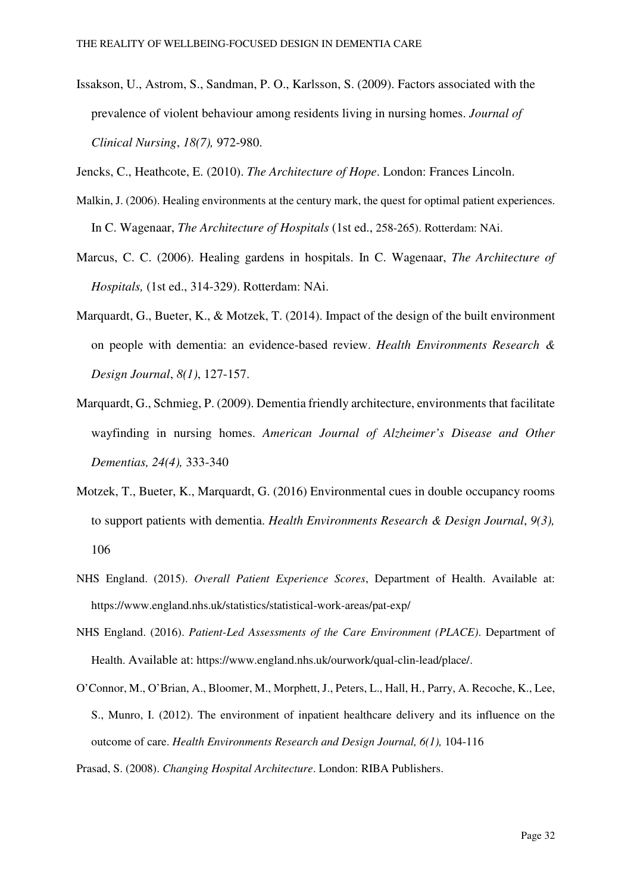Issakson, U., Astrom, S., Sandman, P. O., Karlsson, S. (2009). Factors associated with the prevalence of violent behaviour among residents living in nursing homes. *Journal of Clinical Nursing*, *18(7),* 972-980.

Jencks, C., Heathcote, E. (2010). *The Architecture of Hope*. London: Frances Lincoln.

- Malkin, J. (2006). Healing environments at the century mark, the quest for optimal patient experiences. In C. Wagenaar, *The Architecture of Hospitals* (1st ed., 258-265). Rotterdam: NAi.
- Marcus, C. C. (2006). Healing gardens in hospitals. In C. Wagenaar, *The Architecture of Hospitals,* (1st ed., 314-329). Rotterdam: NAi.
- Marquardt, G., Bueter, K., & Motzek, T. (2014). Impact of the design of the built environment on people with dementia: an evidence-based review. *Health Environments Research & Design Journal*, *8(1)*, 127-157.
- Marquardt, G., Schmieg, P. (2009). Dementia friendly architecture, environments that facilitate wayfinding in nursing homes. *American Journal of Alzheimer's Disease and Other Dementias, 24(4),* 333-340
- Motzek, T., Bueter, K., Marquardt, G. (2016) Environmental cues in double occupancy rooms to support patients with dementia. *Health Environments Research & Design Journal*, *9(3),* 106
- NHS England. (2015). *Overall Patient Experience Scores*, Department of Health. Available at: https://www.england.nhs.uk/statistics/statistical-work-areas/pat-exp/
- NHS England. (2016). *Patient-Led Assessments of the Care Environment (PLACE)*. Department of Health. Available at: https://www.england.nhs.uk/ourwork/qual-clin-lead/place/.
- O'Connor, M., O'Brian, A., Bloomer, M., Morphett, J., Peters, L., Hall, H., Parry, A. Recoche, K., Lee, S., Munro, I. (2012). The environment of inpatient healthcare delivery and its influence on the outcome of care. *Health Environments Research and Design Journal, 6(1),* 104-116
- Prasad, S. (2008). *Changing Hospital Architecture*. London: RIBA Publishers.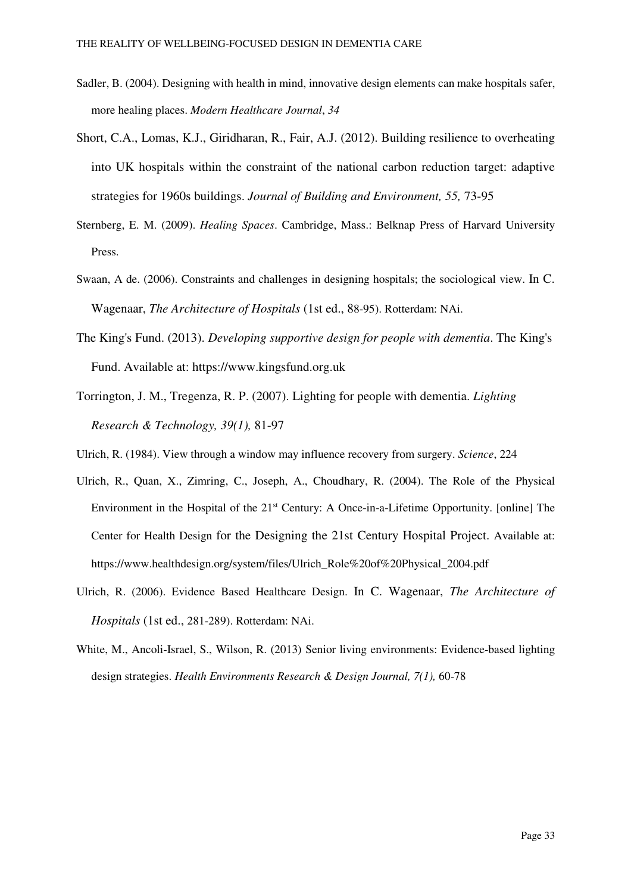- Sadler, B. (2004). Designing with health in mind, innovative design elements can make hospitals safer, more healing places. *Modern Healthcare Journal*, *34*
- Short, C.A., Lomas, K.J., Giridharan, R., Fair, A.J. (2012). Building resilience to overheating into UK hospitals within the constraint of the national carbon reduction target: adaptive strategies for 1960s buildings. *Journal of Building and Environment, 55,* 73-95
- Sternberg, E. M. (2009). *Healing Spaces*. Cambridge, Mass.: Belknap Press of Harvard University Press.
- Swaan, A de. (2006). Constraints and challenges in designing hospitals; the sociological view. In C. Wagenaar, *The Architecture of Hospitals* (1st ed., 88-95). Rotterdam: NAi.
- The King's Fund. (2013). *Developing supportive design for people with dementia*. The King's Fund. Available at: https://www.kingsfund.org.uk
- Torrington, J. M., Tregenza, R. P. (2007). Lighting for people with dementia. *Lighting Research & Technology, 39(1),* 81-97
- Ulrich, R. (1984). View through a window may influence recovery from surgery. *Science*, 224
- Ulrich, R., Quan, X., Zimring, C., Joseph, A., Choudhary, R. (2004). The Role of the Physical Environment in the Hospital of the 21<sup>st</sup> Century: A Once-in-a-Lifetime Opportunity. [online] The Center for Health Design for the Designing the 21st Century Hospital Project. Available at: https://www.healthdesign.org/system/files/Ulrich\_Role%20of%20Physical\_2004.pdf
- Ulrich, R. (2006). Evidence Based Healthcare Design. In C. Wagenaar, *The Architecture of Hospitals* (1st ed., 281-289). Rotterdam: NAi.
- White, M., Ancoli-Israel, S., Wilson, R. (2013) Senior living environments: Evidence-based lighting design strategies. *Health Environments Research & Design Journal, 7(1),* 60-78